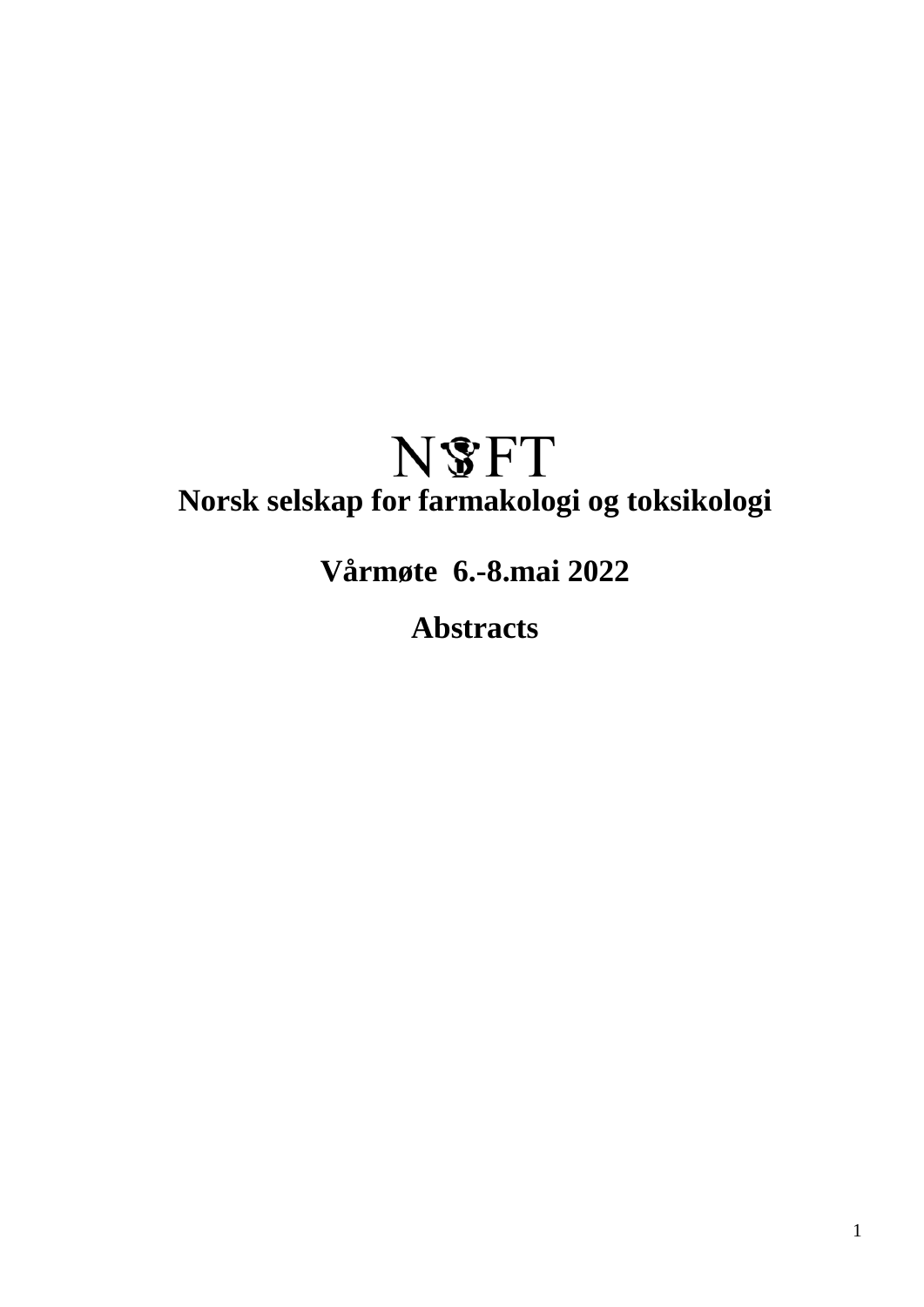# **N**SFT **Norsk selskap for farmakologi og toksikologi**

**Vårmøte 6.-8.mai 2022**

**Abstracts**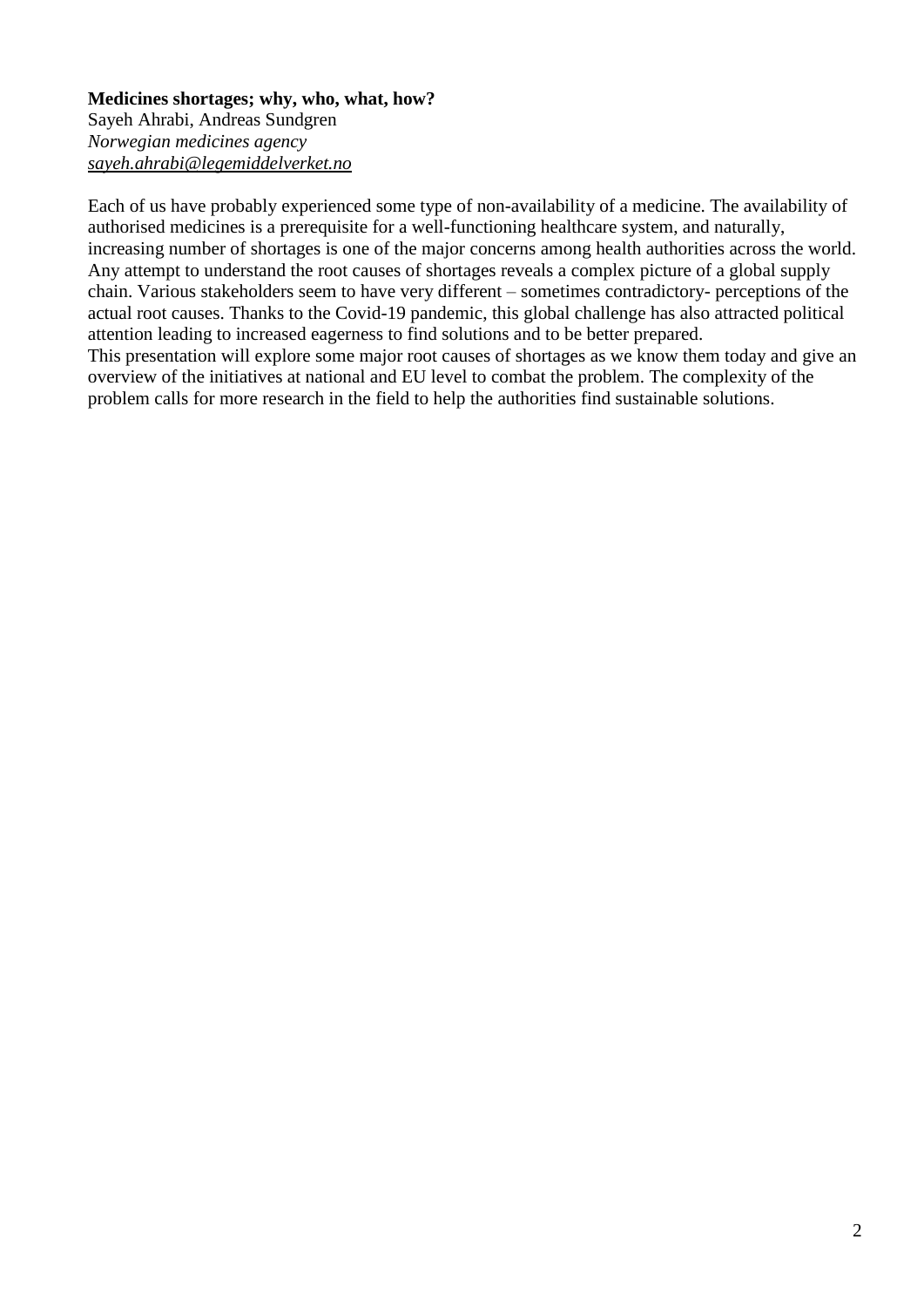# **Medicines shortages; why, who, what, how?**

Sayeh Ahrabi, Andreas Sundgren *Norwegian medicines agency sayeh.ahrabi@legemiddelverket.no*

Each of us have probably experienced some type of non-availability of a medicine. The availability of authorised medicines is a prerequisite for a well-functioning healthcare system, and naturally, increasing number of shortages is one of the major concerns among health authorities across the world. Any attempt to understand the root causes of shortages reveals a complex picture of a global supply chain. Various stakeholders seem to have very different – sometimes contradictory- perceptions of the actual root causes. Thanks to the Covid-19 pandemic, this global challenge has also attracted political attention leading to increased eagerness to find solutions and to be better prepared. This presentation will explore some major root causes of shortages as we know them today and give an overview of the initiatives at national and EU level to combat the problem. The complexity of the problem calls for more research in the field to help the authorities find sustainable solutions.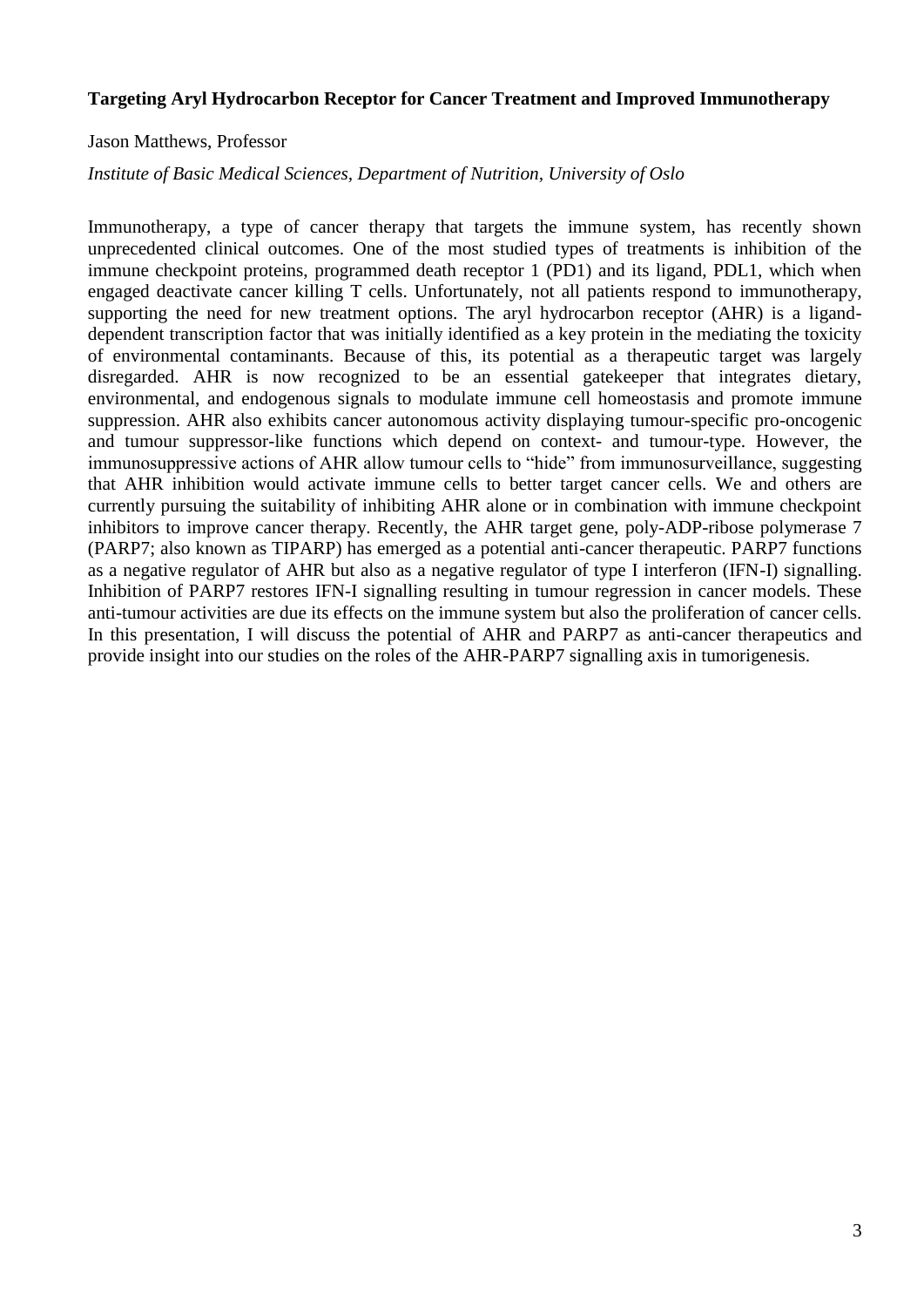#### **Targeting Aryl Hydrocarbon Receptor for Cancer Treatment and Improved Immunotherapy**

#### Jason Matthews, Professor

#### *Institute of Basic Medical Sciences, Department of Nutrition, University of Oslo*

Immunotherapy, a type of cancer therapy that targets the immune system, has recently shown unprecedented clinical outcomes. One of the most studied types of treatments is inhibition of the immune checkpoint proteins, programmed death receptor 1 (PD1) and its ligand, PDL1, which when engaged deactivate cancer killing T cells. Unfortunately, not all patients respond to immunotherapy, supporting the need for new treatment options. The aryl hydrocarbon receptor (AHR) is a liganddependent transcription factor that was initially identified as a key protein in the mediating the toxicity of environmental contaminants. Because of this, its potential as a therapeutic target was largely disregarded. AHR is now recognized to be an essential gatekeeper that integrates dietary, environmental, and endogenous signals to modulate immune cell homeostasis and promote immune suppression. AHR also exhibits cancer autonomous activity displaying tumour-specific pro-oncogenic and tumour suppressor-like functions which depend on context- and tumour-type. However, the immunosuppressive actions of AHR allow tumour cells to "hide" from immunosurveillance, suggesting that AHR inhibition would activate immune cells to better target cancer cells. We and others are currently pursuing the suitability of inhibiting AHR alone or in combination with immune checkpoint inhibitors to improve cancer therapy. Recently, the AHR target gene, poly-ADP-ribose polymerase 7 (PARP7; also known as TIPARP) has emerged as a potential anti-cancer therapeutic. PARP7 functions as a negative regulator of AHR but also as a negative regulator of type I interferon (IFN-I) signalling. Inhibition of PARP7 restores IFN-I signalling resulting in tumour regression in cancer models. These anti-tumour activities are due its effects on the immune system but also the proliferation of cancer cells. In this presentation, I will discuss the potential of AHR and PARP7 as anti-cancer therapeutics and provide insight into our studies on the roles of the AHR-PARP7 signalling axis in tumorigenesis.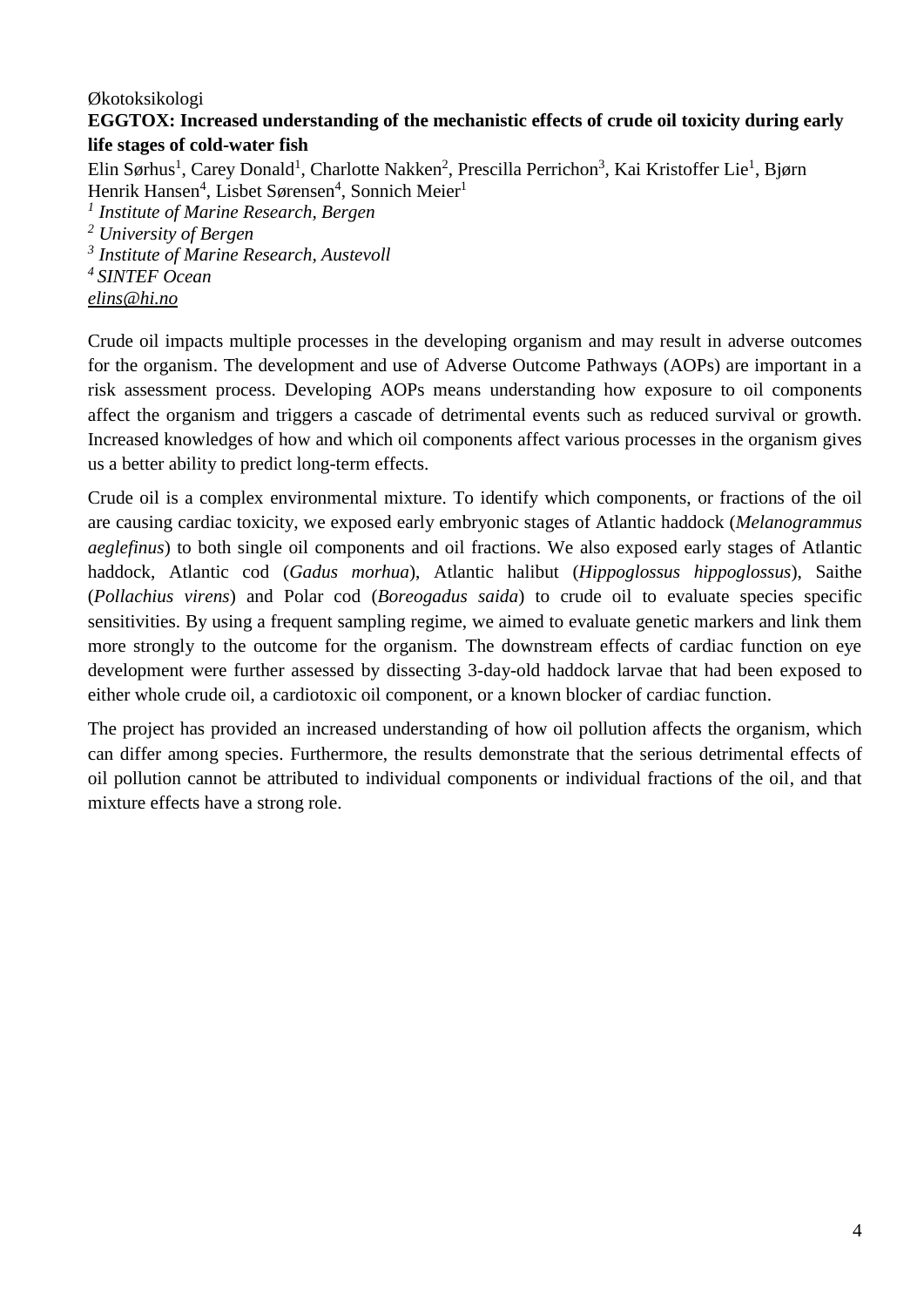## Økotoksikologi **EGGTOX: Increased understanding of the mechanistic effects of crude oil toxicity during early life stages of cold-water fish**

Elin Sørhus<sup>1</sup>, Carey Donald<sup>1</sup>, Charlotte Nakken<sup>2</sup>, Prescilla Perrichon<sup>3</sup>, Kai Kristoffer Lie<sup>1</sup>, Bjørn Henrik Hansen<sup>4</sup>, Lisbet Sørensen<sup>4</sup>, Sonnich Meier<sup>1</sup>

*1 Institute of Marine Research, Bergen*

*<sup>2</sup> University of Bergen*

*3 Institute of Marine Research, Austevoll*

*<sup>4</sup>SINTEF Ocean*

*elins@hi.no*

Crude oil impacts multiple processes in the developing organism and may result in adverse outcomes for the organism. The development and use of Adverse Outcome Pathways (AOPs) are important in a risk assessment process. Developing AOPs means understanding how exposure to oil components affect the organism and triggers a cascade of detrimental events such as reduced survival or growth. Increased knowledges of how and which oil components affect various processes in the organism gives us a better ability to predict long-term effects.

Crude oil is a complex environmental mixture. To identify which components, or fractions of the oil are causing cardiac toxicity, we exposed early embryonic stages of Atlantic haddock (*Melanogrammus aeglefinus*) to both single oil components and oil fractions. We also exposed early stages of Atlantic haddock, Atlantic cod (*Gadus morhua*), Atlantic halibut (*Hippoglossus hippoglossus*), Saithe (*Pollachius virens*) and Polar cod (*Boreogadus saida*) to crude oil to evaluate species specific sensitivities. By using a frequent sampling regime, we aimed to evaluate genetic markers and link them more strongly to the outcome for the organism. The downstream effects of cardiac function on eye development were further assessed by dissecting 3-day-old haddock larvae that had been exposed to either whole crude oil, a cardiotoxic oil component, or a known blocker of cardiac function.

The project has provided an increased understanding of how oil pollution affects the organism, which can differ among species. Furthermore, the results demonstrate that the serious detrimental effects of oil pollution cannot be attributed to individual components or individual fractions of the oil, and that mixture effects have a strong role.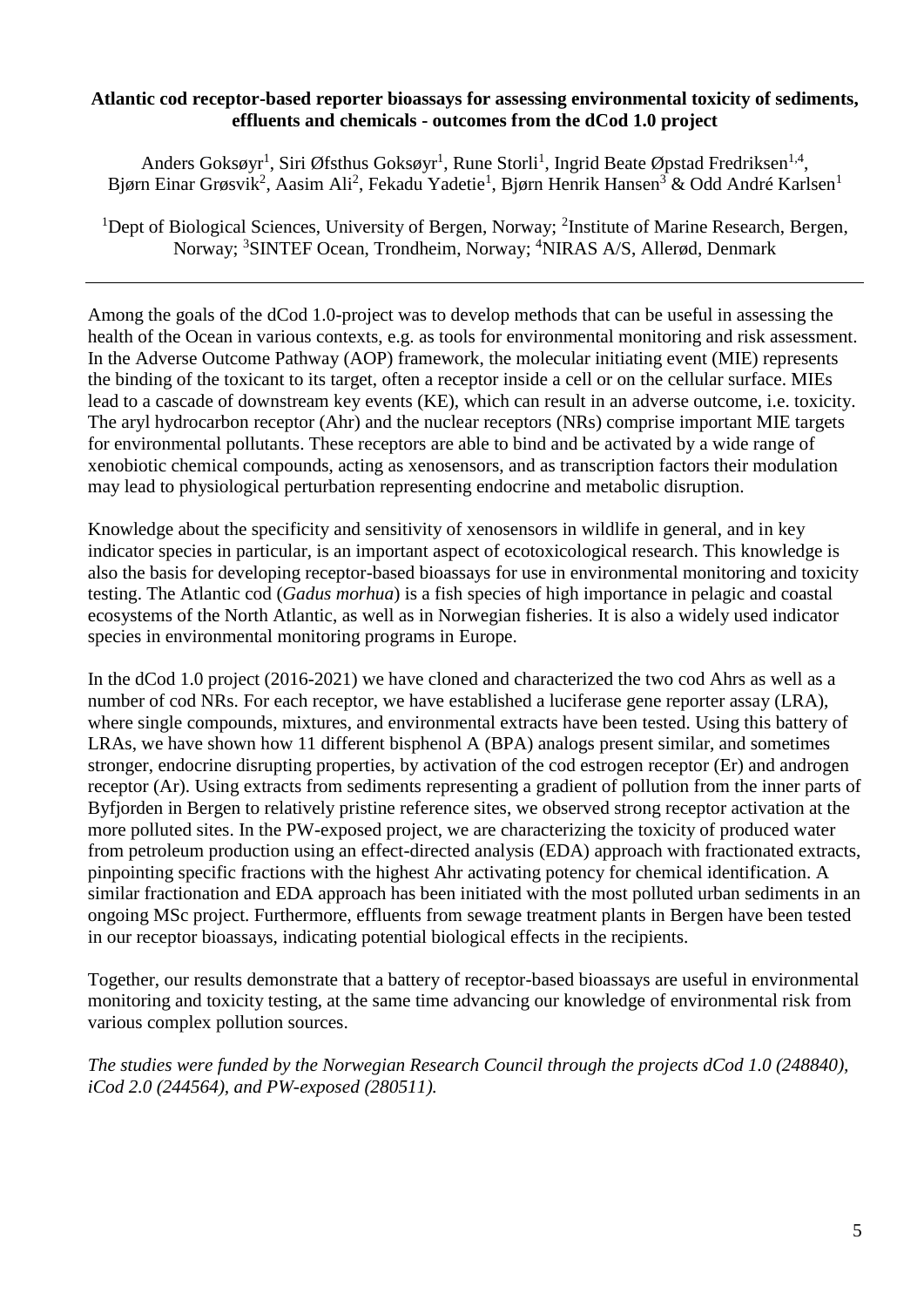#### **Atlantic cod receptor-based reporter bioassays for assessing environmental toxicity of sediments, effluents and chemicals - outcomes from the dCod 1.0 project**

Anders Goksøyr<sup>1</sup>, Siri Øfsthus Goksøyr<sup>1</sup>, Rune Storli<sup>1</sup>, Ingrid Beate Øpstad Fredriksen<sup>1,4</sup>, Bjørn Einar Grøsvik<sup>2</sup>, Aasim Ali<sup>2</sup>, Fekadu Yadetie<sup>1</sup>, Bjørn Henrik Hansen<sup>3</sup> & Odd André Karlsen<sup>1</sup>

<sup>1</sup>Dept of Biological Sciences, University of Bergen, Norway; <sup>2</sup>Institute of Marine Research, Bergen, Norway; <sup>3</sup>SINTEF Ocean, Trondheim, Norway; <sup>4</sup>NIRAS A/S, Allerød, Denmark

Among the goals of the dCod 1.0-project was to develop methods that can be useful in assessing the health of the Ocean in various contexts, e.g. as tools for environmental monitoring and risk assessment. In the Adverse Outcome Pathway (AOP) framework, the molecular initiating event (MIE) represents the binding of the toxicant to its target, often a receptor inside a cell or on the cellular surface. MIEs lead to a cascade of downstream key events (KE), which can result in an adverse outcome, i.e. toxicity. The aryl hydrocarbon receptor (Ahr) and the nuclear receptors (NRs) comprise important MIE targets for environmental pollutants. These receptors are able to bind and be activated by a wide range of xenobiotic chemical compounds, acting as xenosensors, and as transcription factors their modulation may lead to physiological perturbation representing endocrine and metabolic disruption.

Knowledge about the specificity and sensitivity of xenosensors in wildlife in general, and in key indicator species in particular, is an important aspect of ecotoxicological research. This knowledge is also the basis for developing receptor-based bioassays for use in environmental monitoring and toxicity testing. The Atlantic cod (*Gadus morhua*) is a fish species of high importance in pelagic and coastal ecosystems of the North Atlantic, as well as in Norwegian fisheries. It is also a widely used indicator species in environmental monitoring programs in Europe.

In the dCod 1.0 project (2016-2021) we have cloned and characterized the two cod Ahrs as well as a number of cod NRs. For each receptor, we have established a luciferase gene reporter assay (LRA), where single compounds, mixtures, and environmental extracts have been tested. Using this battery of LRAs, we have shown how 11 different bisphenol A (BPA) analogs present similar, and sometimes stronger, endocrine disrupting properties, by activation of the cod estrogen receptor (Er) and androgen receptor (Ar). Using extracts from sediments representing a gradient of pollution from the inner parts of Byfjorden in Bergen to relatively pristine reference sites, we observed strong receptor activation at the more polluted sites. In the PW-exposed project, we are characterizing the toxicity of produced water from petroleum production using an effect-directed analysis (EDA) approach with fractionated extracts, pinpointing specific fractions with the highest Ahr activating potency for chemical identification. A similar fractionation and EDA approach has been initiated with the most polluted urban sediments in an ongoing MSc project. Furthermore, effluents from sewage treatment plants in Bergen have been tested in our receptor bioassays, indicating potential biological effects in the recipients.

Together, our results demonstrate that a battery of receptor-based bioassays are useful in environmental monitoring and toxicity testing, at the same time advancing our knowledge of environmental risk from various complex pollution sources.

*The studies were funded by the Norwegian Research Council through the projects dCod 1.0 (248840), iCod 2.0 (244564), and PW-exposed (280511).*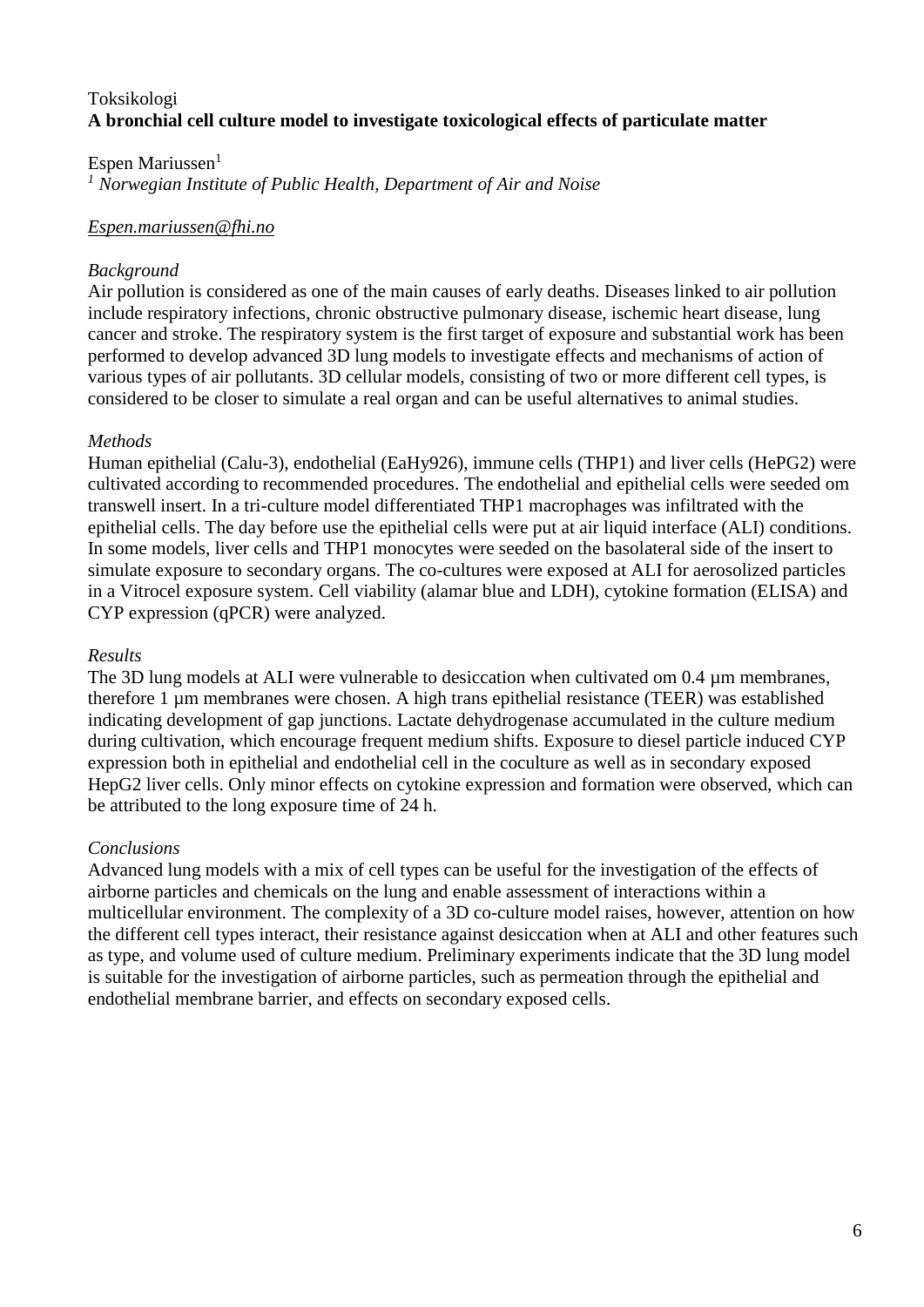# Toksikologi **A bronchial cell culture model to investigate toxicological effects of particulate matter**

#### Espen Mariussen $<sup>1</sup>$ </sup>

*<sup>1</sup> Norwegian Institute of Public Health, Department of Air and Noise*

## *Espen.mariussen@fhi.no*

## *Background*

Air pollution is considered as one of the main causes of early deaths. Diseases linked to air pollution include respiratory infections, chronic obstructive pulmonary disease, ischemic heart disease, lung cancer and stroke. The respiratory system is the first target of exposure and substantial work has been performed to develop advanced 3D lung models to investigate effects and mechanisms of action of various types of air pollutants. 3D cellular models, consisting of two or more different cell types, is considered to be closer to simulate a real organ and can be useful alternatives to animal studies.

## *Methods*

Human epithelial (Calu-3), endothelial (EaHy926), immune cells (THP1) and liver cells (HePG2) were cultivated according to recommended procedures. The endothelial and epithelial cells were seeded om transwell insert. In a tri-culture model differentiated THP1 macrophages was infiltrated with the epithelial cells. The day before use the epithelial cells were put at air liquid interface (ALI) conditions. In some models, liver cells and THP1 monocytes were seeded on the basolateral side of the insert to simulate exposure to secondary organs. The co-cultures were exposed at ALI for aerosolized particles in a Vitrocel exposure system. Cell viability (alamar blue and LDH), cytokine formation (ELISA) and CYP expression (qPCR) were analyzed.

#### *Results*

The 3D lung models at ALI were vulnerable to desiccation when cultivated om 0.4  $\mu$ m membranes, therefore 1 µm membranes were chosen. A high trans epithelial resistance (TEER) was established indicating development of gap junctions. Lactate dehydrogenase accumulated in the culture medium during cultivation, which encourage frequent medium shifts. Exposure to diesel particle induced CYP expression both in epithelial and endothelial cell in the coculture as well as in secondary exposed HepG2 liver cells. Only minor effects on cytokine expression and formation were observed, which can be attributed to the long exposure time of 24 h.

## *Conclusions*

Advanced lung models with a mix of cell types can be useful for the investigation of the effects of airborne particles and chemicals on the lung and enable assessment of interactions within a multicellular environment. The complexity of a 3D co-culture model raises, however, attention on how the different cell types interact, their resistance against desiccation when at ALI and other features such as type, and volume used of culture medium. Preliminary experiments indicate that the 3D lung model is suitable for the investigation of airborne particles, such as permeation through the epithelial and endothelial membrane barrier, and effects on secondary exposed cells.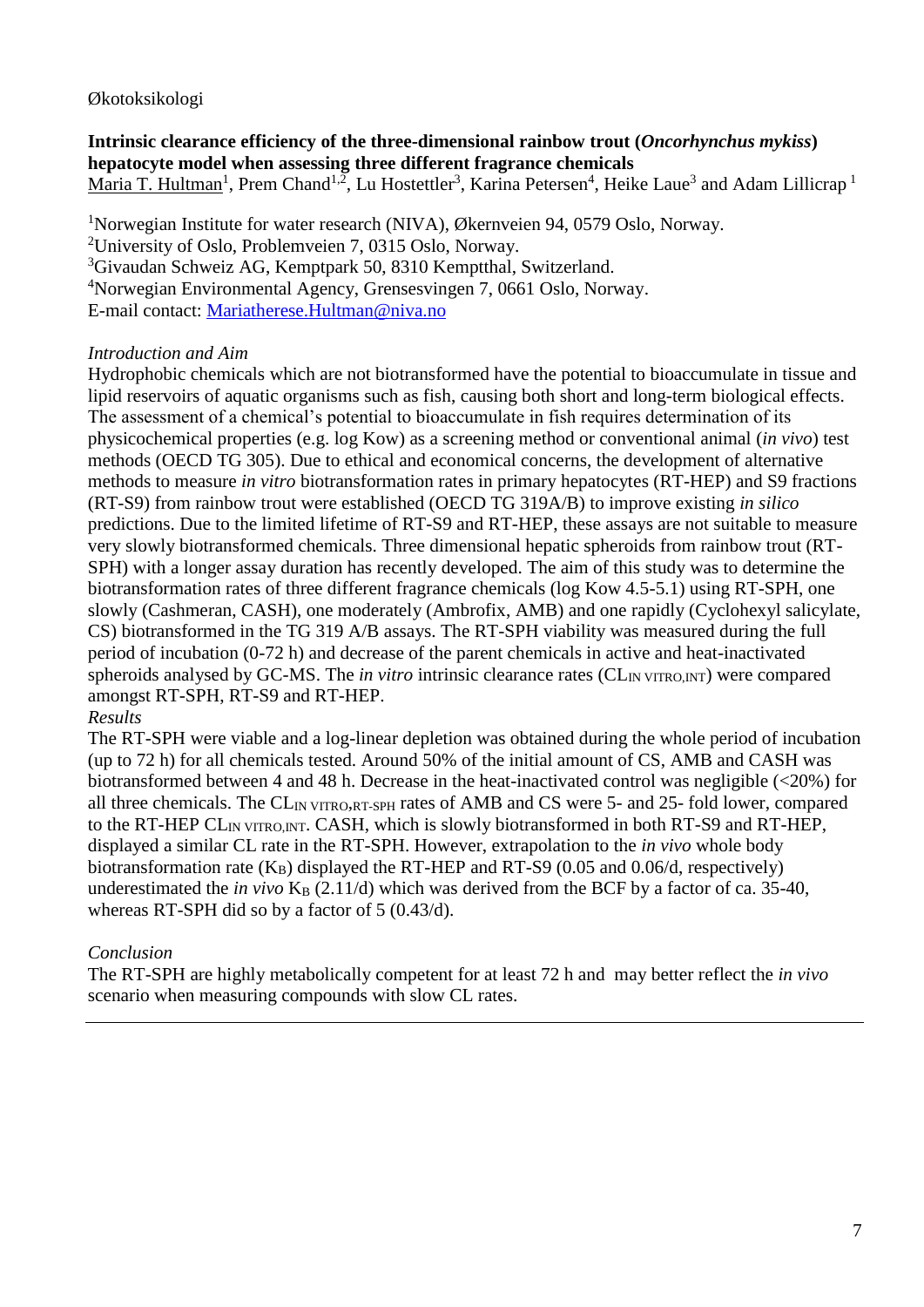# Økotoksikologi

**Intrinsic clearance efficiency of the three-dimensional rainbow trout (***Oncorhynchus mykiss***) hepatocyte model when assessing three different fragrance chemicals**  $Maria$  T. Hultman<sup>1</sup>, Prem Chand<sup>1,2</sup>, Lu Hostettler<sup>3</sup>, Karina Petersen<sup>4</sup>, Heike Laue<sup>3</sup> and Adam Lillicrap <sup>1</sup>

<sup>1</sup>Norwegian Institute for water research (NIVA), Økernveien 94, 0579 Oslo, Norway.

<sup>2</sup>University of Oslo, Problemveien 7, 0315 Oslo, Norway.

<sup>3</sup>Givaudan Schweiz AG, Kemptpark 50, 8310 Kemptthal, Switzerland.

<sup>4</sup>Norwegian Environmental Agency, Grensesvingen 7, 0661 Oslo, Norway.

E-mail contact: [Mariatherese.Hultman@niva.no](mailto:Mariatherese.Hultman@niva.no) 

## *Introduction and Aim*

Hydrophobic chemicals which are not biotransformed have the potential to bioaccumulate in tissue and lipid reservoirs of aquatic organisms such as fish, causing both short and long-term biological effects. The assessment of a chemical's potential to bioaccumulate in fish requires determination of its physicochemical properties (e.g. log Kow) as a screening method or conventional animal (*in vivo*) test methods (OECD TG 305). Due to ethical and economical concerns, the development of alternative methods to measure *in vitro* biotransformation rates in primary hepatocytes (RT-HEP) and S9 fractions (RT-S9) from rainbow trout were established (OECD TG 319A/B) to improve existing *in silico* predictions. Due to the limited lifetime of RT-S9 and RT-HEP, these assays are not suitable to measure very slowly biotransformed chemicals. Three dimensional hepatic spheroids from rainbow trout (RT-SPH) with a longer assay duration has recently developed. The aim of this study was to determine the biotransformation rates of three different fragrance chemicals (log Kow 4.5-5.1) using RT-SPH, one slowly (Cashmeran, CASH), one moderately (Ambrofix, AMB) and one rapidly (Cyclohexyl salicylate, CS) biotransformed in the TG 319 A/B assays. The RT-SPH viability was measured during the full period of incubation (0-72 h) and decrease of the parent chemicals in active and heat-inactivated spheroids analysed by GC-MS. The *in vitro* intrinsic clearance rates (CL<sub>IN VITRO,INT</sub>) were compared amongst RT-SPH, RT-S9 and RT-HEP.

## *Results*

The RT-SPH were viable and a log-linear depletion was obtained during the whole period of incubation (up to 72 h) for all chemicals tested. Around 50% of the initial amount of CS, AMB and CASH was biotransformed between 4 and 48 h. Decrease in the heat-inactivated control was negligible (<20%) for all three chemicals. The CL<sub>IN</sub> VITRO,RT-SPH rates of AMB and CS were 5- and 25- fold lower, compared to the RT-HEP CLIN VITRO,INT. CASH, which is slowly biotransformed in both RT-S9 and RT-HEP, displayed a similar CL rate in the RT-SPH. However, extrapolation to the *in vivo* whole body biotransformation rate  $(K_B)$  displayed the RT-HEP and RT-S9 (0.05 and 0.06/d, respectively) underestimated the *in vivo*  $K_B$  (2.11/d) which was derived from the BCF by a factor of ca. 35-40, whereas RT-SPH did so by a factor of 5 (0.43/d).

## *Conclusion*

The RT-SPH are highly metabolically competent for at least 72 h and may better reflect the *in vivo* scenario when measuring compounds with slow CL rates.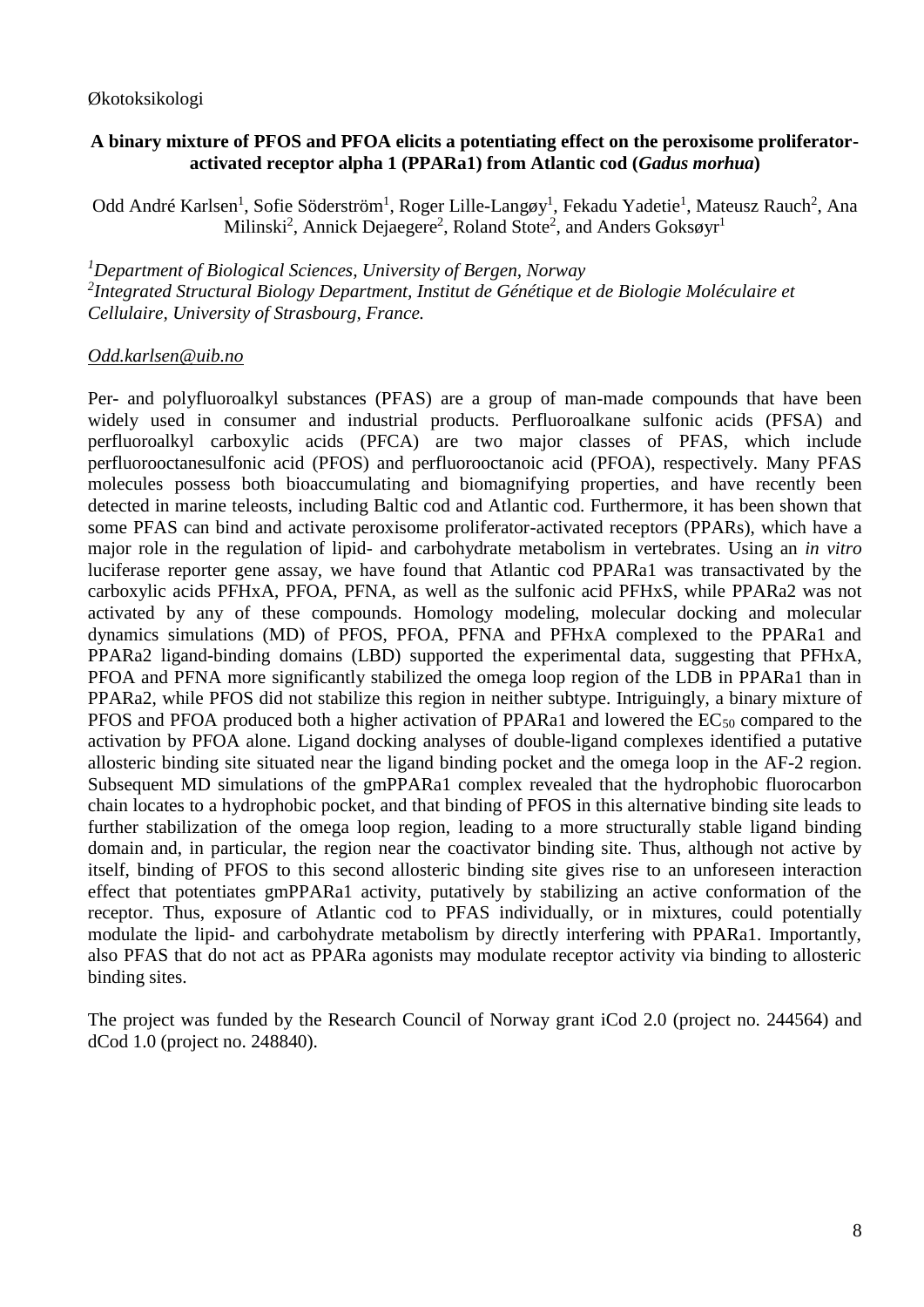## **A binary mixture of PFOS and PFOA elicits a potentiating effect on the peroxisome proliferatoractivated receptor alpha 1 (PPARa1) from Atlantic cod (***Gadus morhua***)**

Odd André Karlsen<sup>1</sup>, Sofie Söderström<sup>1</sup>, Roger Lille-Langøy<sup>1</sup>, Fekadu Yadetie<sup>1</sup>, Mateusz Rauch<sup>2</sup>, Ana Milinski<sup>2</sup>, Annick Dejaegere<sup>2</sup>, Roland Stote<sup>2</sup>, and Anders Goksøyr<sup>1</sup>

*<sup>1</sup>Department of Biological Sciences, University of Bergen, Norway 2 Integrated Structural Biology Department, Institut de Génétique et de Biologie Moléculaire et Cellulaire, University of Strasbourg, France.*

## *Odd.karlsen@uib.no*

Per- and polyfluoroalkyl substances (PFAS) are a group of man-made compounds that have been widely used in consumer and industrial products. Perfluoroalkane sulfonic acids (PFSA) and perfluoroalkyl carboxylic acids (PFCA) are two major classes of PFAS, which include perfluorooctanesulfonic acid (PFOS) and perfluorooctanoic acid (PFOA), respectively. Many PFAS molecules possess both bioaccumulating and biomagnifying properties, and have recently been detected in marine teleosts, including Baltic cod and Atlantic cod. Furthermore, it has been shown that some PFAS can bind and activate peroxisome proliferator-activated receptors (PPARs), which have a major role in the regulation of lipid- and carbohydrate metabolism in vertebrates. Using an *in vitro* luciferase reporter gene assay, we have found that Atlantic cod PPARa1 was transactivated by the carboxylic acids PFHxA, PFOA, PFNA, as well as the sulfonic acid PFHxS, while PPARa2 was not activated by any of these compounds. Homology modeling, molecular docking and molecular dynamics simulations (MD) of PFOS, PFOA, PFNA and PFHxA complexed to the PPARa1 and PPARa2 ligand-binding domains (LBD) supported the experimental data, suggesting that PFHxA, PFOA and PFNA more significantly stabilized the omega loop region of the LDB in PPARa1 than in PPARa2, while PFOS did not stabilize this region in neither subtype. Intriguingly, a binary mixture of PFOS and PFOA produced both a higher activation of PPARa1 and lowered the EC<sub>50</sub> compared to the activation by PFOA alone. Ligand docking analyses of double-ligand complexes identified a putative allosteric binding site situated near the ligand binding pocket and the omega loop in the AF-2 region. Subsequent MD simulations of the gmPPARa1 complex revealed that the hydrophobic fluorocarbon chain locates to a hydrophobic pocket, and that binding of PFOS in this alternative binding site leads to further stabilization of the omega loop region, leading to a more structurally stable ligand binding domain and, in particular, the region near the coactivator binding site. Thus, although not active by itself, binding of PFOS to this second allosteric binding site gives rise to an unforeseen interaction effect that potentiates gmPPARa1 activity, putatively by stabilizing an active conformation of the receptor. Thus, exposure of Atlantic cod to PFAS individually, or in mixtures, could potentially modulate the lipid- and carbohydrate metabolism by directly interfering with PPARa1. Importantly, also PFAS that do not act as PPARa agonists may modulate receptor activity via binding to allosteric binding sites.

The project was funded by the Research Council of Norway grant iCod 2.0 (project no. 244564) and dCod 1.0 (project no. 248840).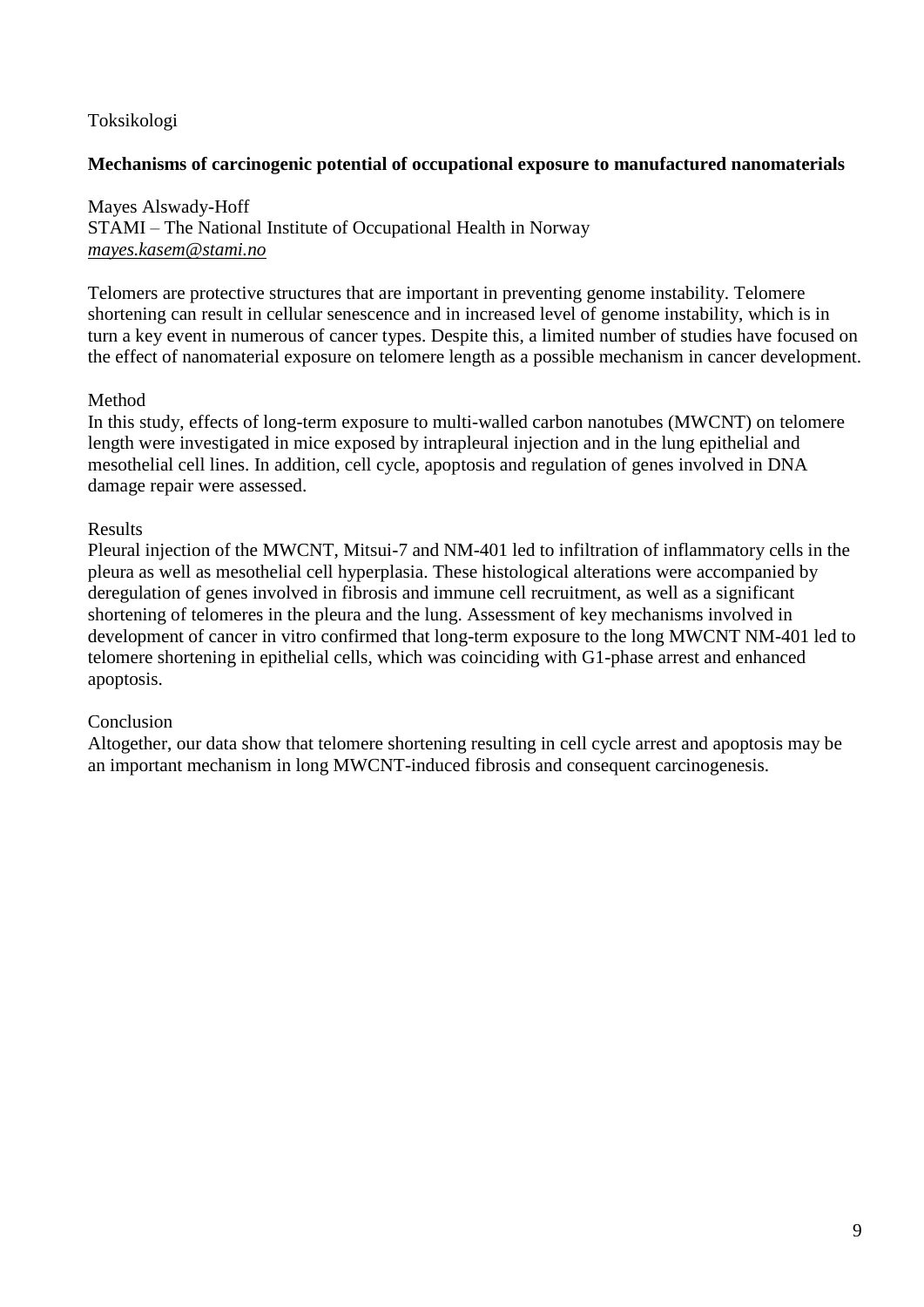# Toksikologi

# **Mechanisms of carcinogenic potential of occupational exposure to manufactured nanomaterials**

Mayes Alswady-Hoff STAMI – The National Institute of Occupational Health in Norway *mayes.kasem@stami.no*

Telomers are protective structures that are important in preventing genome instability. Telomere shortening can result in cellular senescence and in increased level of genome instability, which is in turn a key event in numerous of cancer types. Despite this, a limited number of studies have focused on the effect of nanomaterial exposure on telomere length as a possible mechanism in cancer development.

# Method

In this study, effects of long-term exposure to multi-walled carbon nanotubes (MWCNT) on telomere length were investigated in mice exposed by intrapleural injection and in the lung epithelial and mesothelial cell lines. In addition, cell cycle, apoptosis and regulation of genes involved in DNA damage repair were assessed.

## Results

Pleural injection of the MWCNT, Mitsui-7 and NM-401 led to infiltration of inflammatory cells in the pleura as well as mesothelial cell hyperplasia. These histological alterations were accompanied by deregulation of genes involved in fibrosis and immune cell recruitment, as well as a significant shortening of telomeres in the pleura and the lung. Assessment of key mechanisms involved in development of cancer in vitro confirmed that long-term exposure to the long MWCNT NM-401 led to telomere shortening in epithelial cells, which was coinciding with G1-phase arrest and enhanced apoptosis.

## Conclusion

Altogether, our data show that telomere shortening resulting in cell cycle arrest and apoptosis may be an important mechanism in long MWCNT-induced fibrosis and consequent carcinogenesis.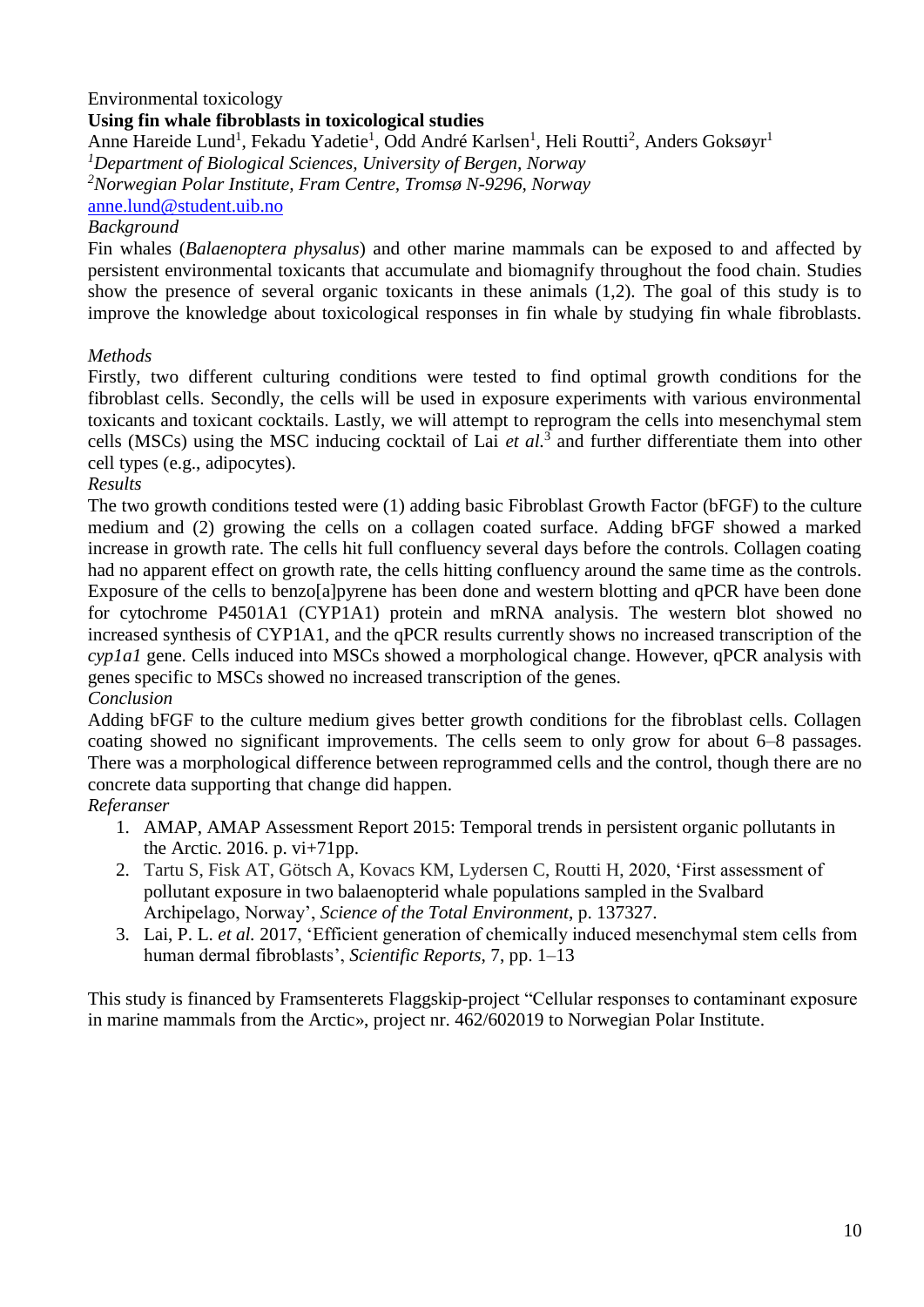## Environmental toxicology

#### **Using fin whale fibroblasts in toxicological studies**

Anne Hareide Lund<sup>1</sup>, Fekadu Yadetie<sup>1</sup>, Odd André Karlsen<sup>1</sup>, Heli Routti<sup>2</sup>, Anders Goksøyr<sup>1</sup> *<sup>1</sup>Department of Biological Sciences, University of Bergen, Norway <sup>2</sup>Norwegian Polar Institute, Fram Centre, Tromsø N-9296, Norway* anne.lund@student.uib.no

#### *Background*

Fin whales (*Balaenoptera physalus*) and other marine mammals can be exposed to and affected by persistent environmental toxicants that accumulate and biomagnify throughout the food chain. Studies show the presence of several organic toxicants in these animals (1,2). The goal of this study is to improve the knowledge about toxicological responses in fin whale by studying fin whale fibroblasts.

#### *Methods*

Firstly, two different culturing conditions were tested to find optimal growth conditions for the fibroblast cells. Secondly, the cells will be used in exposure experiments with various environmental toxicants and toxicant cocktails. Lastly, we will attempt to reprogram the cells into mesenchymal stem cells (MSCs) using the MSC inducing cocktail of Lai *et al.*<sup>3</sup> and further differentiate them into other cell types (e.g., adipocytes).

#### *Results*

The two growth conditions tested were (1) adding basic Fibroblast Growth Factor (bFGF) to the culture medium and (2) growing the cells on a collagen coated surface. Adding bFGF showed a marked increase in growth rate. The cells hit full confluency several days before the controls. Collagen coating had no apparent effect on growth rate, the cells hitting confluency around the same time as the controls. Exposure of the cells to benzo[a]pyrene has been done and western blotting and qPCR have been done for cytochrome P4501A1 (CYP1A1) protein and mRNA analysis. The western blot showed no increased synthesis of CYP1A1, and the qPCR results currently shows no increased transcription of the *cyp1a1* gene. Cells induced into MSCs showed a morphological change. However, qPCR analysis with genes specific to MSCs showed no increased transcription of the genes.

## *Conclusion*

Adding bFGF to the culture medium gives better growth conditions for the fibroblast cells. Collagen coating showed no significant improvements. The cells seem to only grow for about 6–8 passages. There was a morphological difference between reprogrammed cells and the control, though there are no concrete data supporting that change did happen.

## *Referanser*

- 1. AMAP, AMAP Assessment Report 2015: Temporal trends in persistent organic pollutants in the Arctic. 2016. p. vi+71pp.
- 2. Tartu S, Fisk AT, Götsch A, Kovacs KM, Lydersen C, Routti H, 2020, 'First assessment of pollutant exposure in two balaenopterid whale populations sampled in the Svalbard Archipelago, Norway', *Science of the Total Environment*, p. 137327.
- 3. Lai, P. L. *et al.* 2017, 'Efficient generation of chemically induced mesenchymal stem cells from human dermal fibroblasts', *Scientific Reports*, 7, pp. 1–13

This study is financed by Framsenterets Flaggskip-project "Cellular responses to contaminant exposure in marine mammals from the Arctic», project nr. 462/602019 to Norwegian Polar Institute.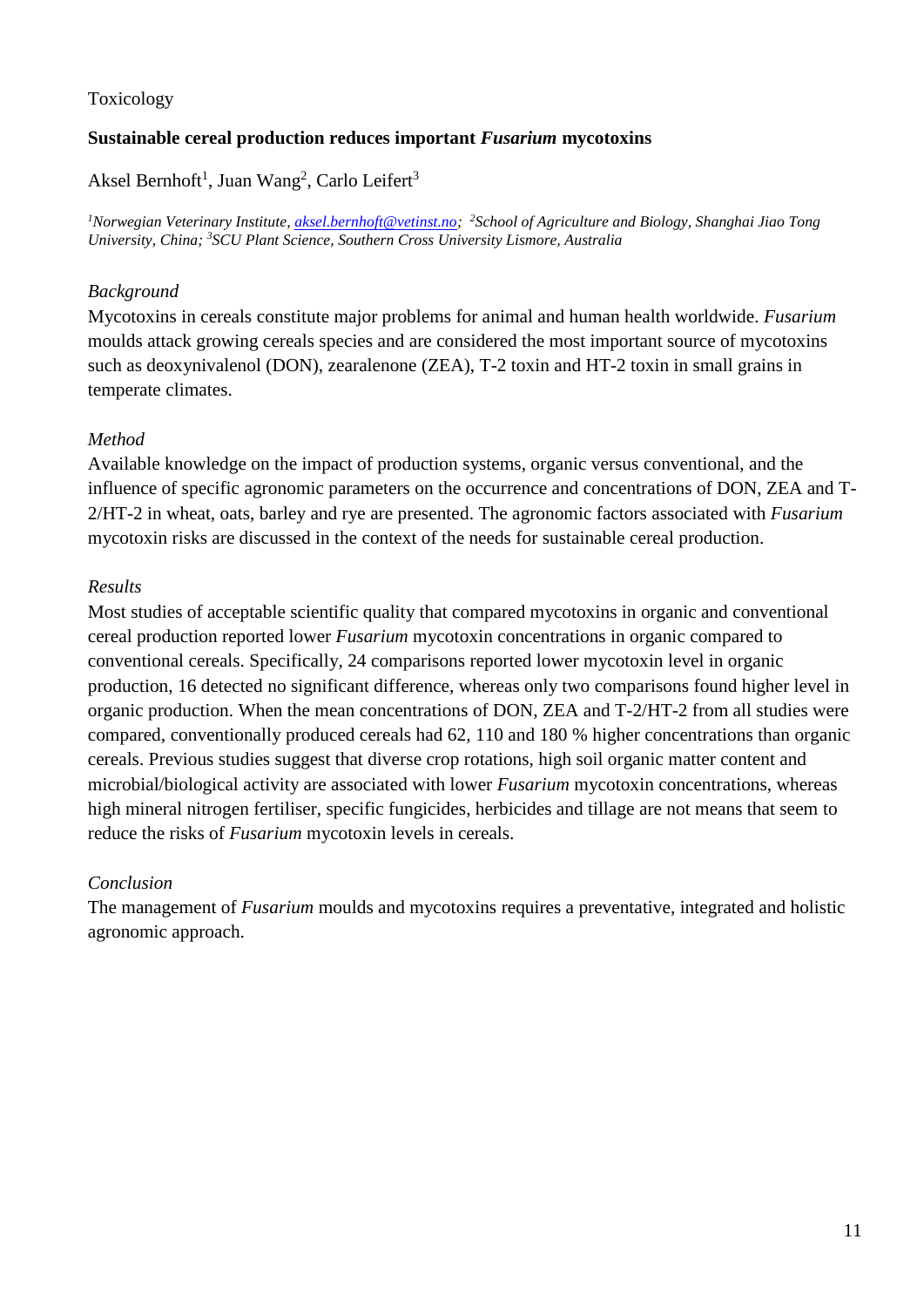# Toxicology

# **Sustainable cereal production reduces important** *Fusarium* **mycotoxins**

# Aksel Bernhoft<sup>1</sup>, Juan Wang<sup>2</sup>, Carlo Leifert<sup>3</sup>

*<sup>1</sup>Norwegian Veterinary Institute, [aksel.bernhoft@vetinst.no;](mailto:aksel.bernhoft@vetinst.no) <sup>2</sup>School of Agriculture and Biology, Shanghai Jiao Tong University, China; <sup>3</sup>SCU Plant Science, Southern Cross University Lismore, Australia*

# *Background*

Mycotoxins in cereals constitute major problems for animal and human health worldwide. *Fusarium* moulds attack growing cereals species and are considered the most important source of mycotoxins such as deoxynivalenol (DON), zearalenone (ZEA), T-2 toxin and HT-2 toxin in small grains in temperate climates.

# *Method*

Available knowledge on the impact of production systems, organic versus conventional, and the influence of specific agronomic parameters on the occurrence and concentrations of DON, ZEA and T-2/HT-2 in wheat, oats, barley and rye are presented. The agronomic factors associated with *Fusarium* mycotoxin risks are discussed in the context of the needs for sustainable cereal production.

# *Results*

Most studies of acceptable scientific quality that compared mycotoxins in organic and conventional cereal production reported lower *Fusarium* mycotoxin concentrations in organic compared to conventional cereals. Specifically, 24 comparisons reported lower mycotoxin level in organic production, 16 detected no significant difference, whereas only two comparisons found higher level in organic production. When the mean concentrations of DON, ZEA and T-2/HT-2 from all studies were compared, conventionally produced cereals had 62, 110 and 180 % higher concentrations than organic cereals. Previous studies suggest that diverse crop rotations, high soil organic matter content and microbial/biological activity are associated with lower *Fusarium* mycotoxin concentrations, whereas high mineral nitrogen fertiliser, specific fungicides, herbicides and tillage are not means that seem to reduce the risks of *Fusarium* mycotoxin levels in cereals.

# *Conclusion*

The management of *Fusarium* moulds and mycotoxins requires a preventative, integrated and holistic agronomic approach.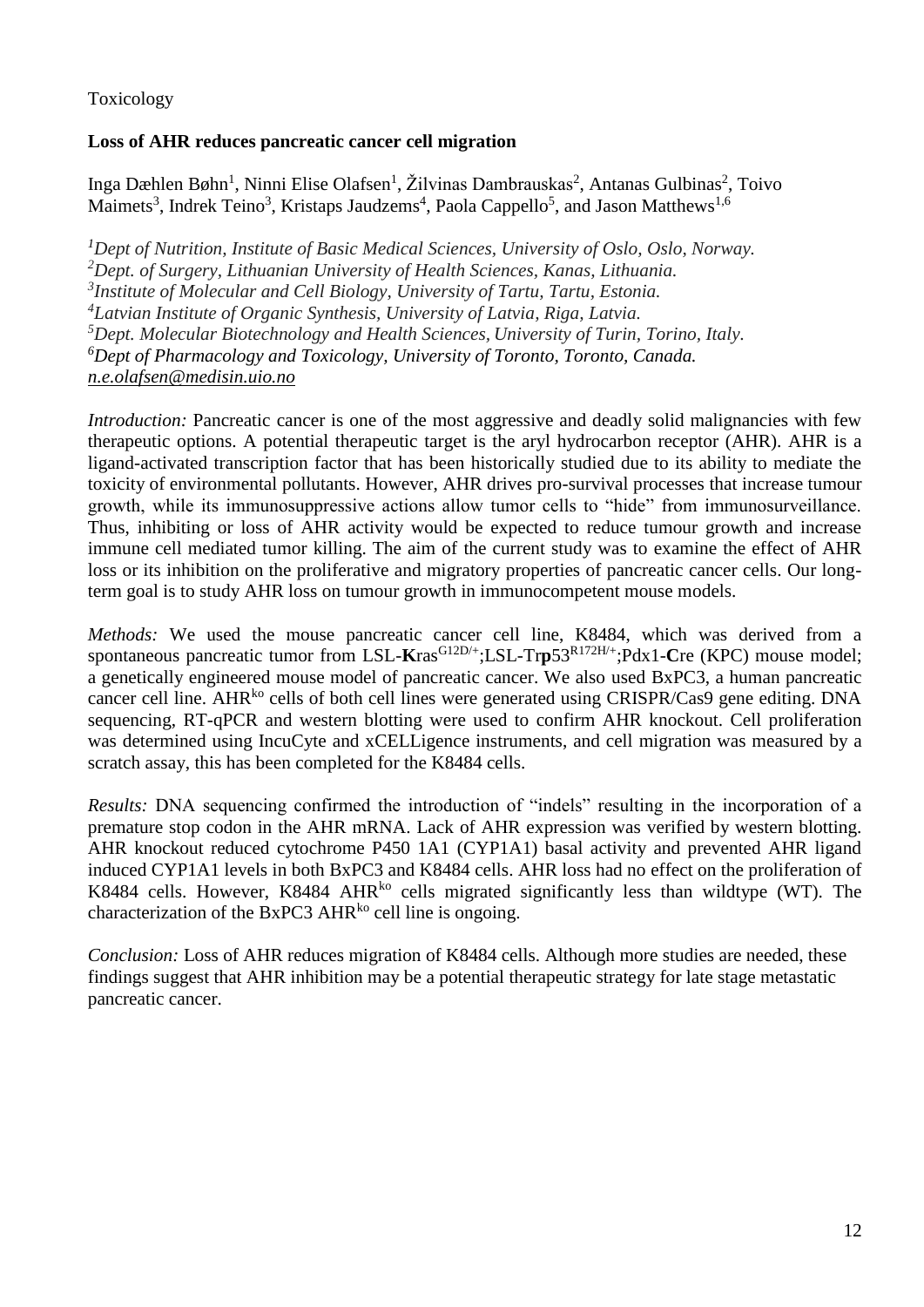# Toxicology

# **Loss of AHR reduces pancreatic cancer cell migration**

Inga Dæhlen Bøhn<sup>1</sup>, Ninni Elise Olafsen<sup>1</sup>, Žilvinas Dambrauskas<sup>2</sup>, Antanas Gulbinas<sup>2</sup>, Toivo Maimets<sup>3</sup>, Indrek Teino<sup>3</sup>, Kristaps Jaudzems<sup>4</sup>, Paola Cappello<sup>5</sup>, and Jason Matthews<sup>1,6</sup>

*Dept of Nutrition, Institute of Basic Medical Sciences, University of Oslo, Oslo, Norway. Dept. of Surgery, Lithuanian University of Health Sciences, Kanas, Lithuania. Institute of Molecular and Cell Biology, University of Tartu, Tartu, Estonia. Latvian Institute of Organic Synthesis, University of Latvia, Riga, Latvia. Dept. Molecular Biotechnology and Health Sciences, University of Turin, Torino, Italy. Dept of Pharmacology and Toxicology, University of Toronto, Toronto, Canada. n.e.olafsen@medisin.uio.no*

*Introduction:* Pancreatic cancer is one of the most aggressive and deadly solid malignancies with few therapeutic options. A potential therapeutic target is the aryl hydrocarbon receptor (AHR). AHR is a ligand-activated transcription factor that has been historically studied due to its ability to mediate the toxicity of environmental pollutants. However, AHR drives pro-survival processes that increase tumour growth, while its immunosuppressive actions allow tumor cells to "hide" from immunosurveillance. Thus, inhibiting or loss of AHR activity would be expected to reduce tumour growth and increase immune cell mediated tumor killing. The aim of the current study was to examine the effect of AHR loss or its inhibition on the proliferative and migratory properties of pancreatic cancer cells. Our longterm goal is to study AHR loss on tumour growth in immunocompetent mouse models.

*Methods:* We used the mouse pancreatic cancer cell line, K8484, which was derived from a spontaneous pancreatic tumor from LSL-Kras<sup>G12D/+</sup>;LSL-Trp53<sup>R172H/+</sup>;Pdx1-Cre (KPC) mouse model; a genetically engineered mouse model of pancreatic cancer. We also used BxPC3, a human pancreatic cancer cell line. AHR<sup>ko</sup> cells of both cell lines were generated using CRISPR/Cas9 gene editing. DNA sequencing, RT-qPCR and western blotting were used to confirm AHR knockout. Cell proliferation was determined using IncuCyte and xCELLigence instruments, and cell migration was measured by a scratch assay, this has been completed for the K8484 cells.

*Results:* DNA sequencing confirmed the introduction of "indels" resulting in the incorporation of a premature stop codon in the AHR mRNA. Lack of AHR expression was verified by western blotting. AHR knockout reduced cytochrome P450 1A1 (CYP1A1) basal activity and prevented AHR ligand induced CYP1A1 levels in both BxPC3 and K8484 cells. AHR loss had no effect on the proliferation of K8484 cells. However, K8484 AHR<sup>ko</sup> cells migrated significantly less than wildtype (WT). The characterization of the BxPC3 AHR $^{k_0}$  cell line is ongoing.

*Conclusion:* Loss of AHR reduces migration of K8484 cells. Although more studies are needed, these findings suggest that AHR inhibition may be a potential therapeutic strategy for late stage metastatic pancreatic cancer.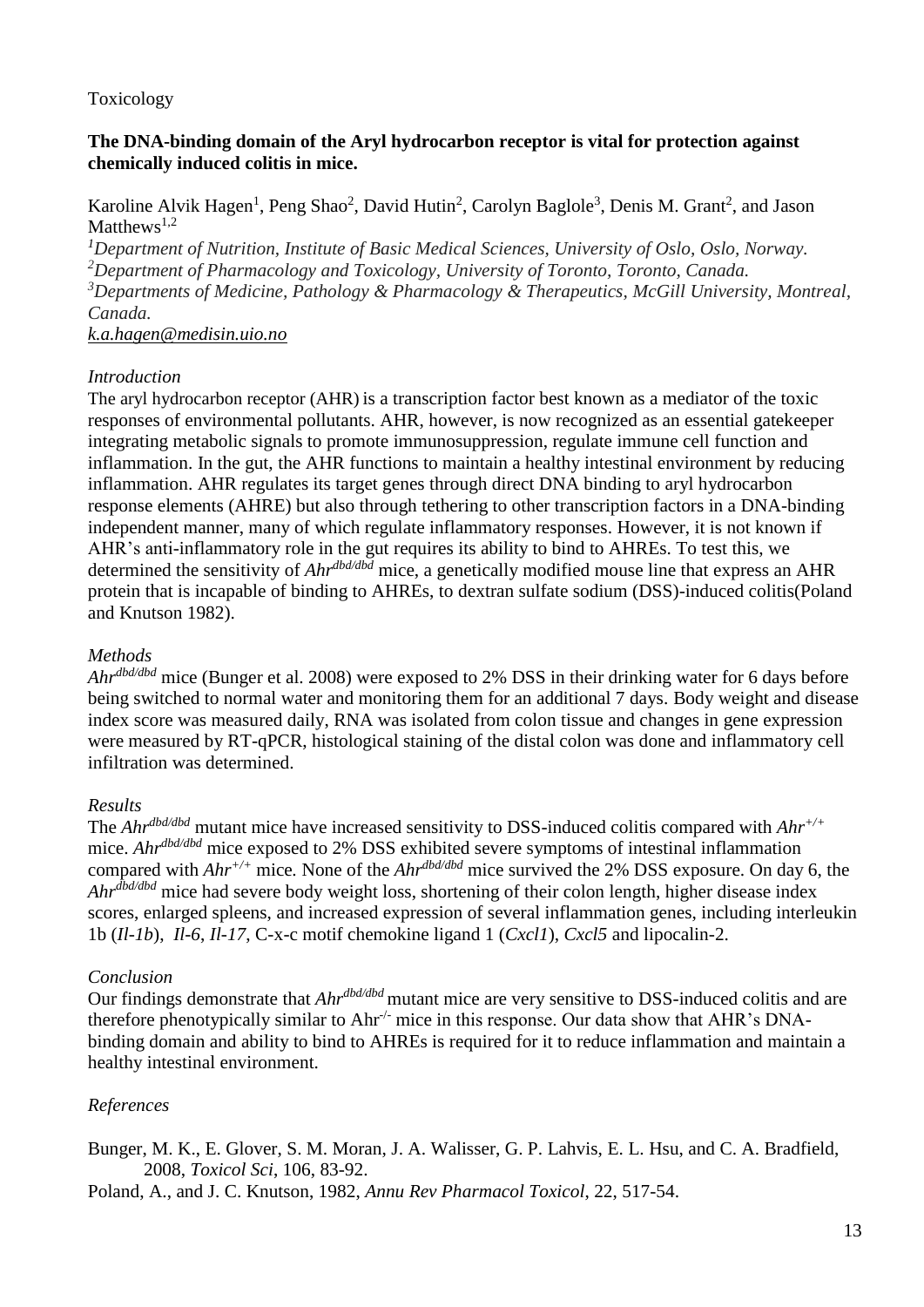# Toxicology

## **The DNA-binding domain of the Aryl hydrocarbon receptor is vital for protection against chemically induced colitis in mice.**

Karoline Alvik Hagen<sup>1</sup>, Peng Shao<sup>2</sup>, David Hutin<sup>2</sup>, Carolyn Baglole<sup>3</sup>, Denis M. Grant<sup>2</sup>, and Jason Matthews<sup>1,2</sup>

*Department of Nutrition, Institute of Basic Medical Sciences, University of Oslo, Oslo, Norway. Department of Pharmacology and Toxicology, University of Toronto, Toronto, Canada. Departments of Medicine, Pathology & Pharmacology & Therapeutics, McGill University, Montreal, Canada.*

*k.a.hagen@medisin.uio.no*

#### *Introduction*

The aryl hydrocarbon receptor (AHR) is a transcription factor best known as a mediator of the toxic responses of environmental pollutants. AHR, however, is now recognized as an essential gatekeeper integrating metabolic signals to promote immunosuppression, regulate immune cell function and inflammation. In the gut, the AHR functions to maintain a healthy intestinal environment by reducing inflammation. AHR regulates its target genes through direct DNA binding to aryl hydrocarbon response elements (AHRE) but also through tethering to other transcription factors in a DNA-binding independent manner, many of which regulate inflammatory responses. However, it is not known if AHR's anti-inflammatory role in the gut requires its ability to bind to AHREs. To test this, we determined the sensitivity of *Ahrdbd/dbd* mice, a genetically modified mouse line that express an AHR protein that is incapable of binding to AHREs, to dextran sulfate sodium (DSS)-induced colitis(Poland and Knutson 1982).

#### *Methods*

*Ahrdbd/dbd* mice (Bunger et al. 2008) were exposed to 2% DSS in their drinking water for 6 days before being switched to normal water and monitoring them for an additional 7 days. Body weight and disease index score was measured daily, RNA was isolated from colon tissue and changes in gene expression were measured by RT-qPCR, histological staining of the distal colon was done and inflammatory cell infiltration was determined.

## *Results*

The *Ahrdbd/dbd* mutant mice have increased sensitivity to DSS-induced colitis compared with *Ahr+/+* mice. *Ahrdbd/dbd* mice exposed to 2% DSS exhibited severe symptoms of intestinal inflammation compared with *Ahr+/+* mice*.* None of the *Ahrdbd/dbd* mice survived the 2% DSS exposure. On day 6, the *Ahrdbd/dbd* mice had severe body weight loss, shortening of their colon length, higher disease index scores, enlarged spleens, and increased expression of several inflammation genes, including interleukin 1b (*Il-1b*), *Il-6*, *Il-17*, C-x-c motif chemokine ligand 1 (*Cxcl1*), *Cxcl5* and lipocalin-2.

## *Conclusion*

Our findings demonstrate that *Ahrdbd/dbd* mutant mice are very sensitive to DSS-induced colitis and are therefore phenotypically similar to Ahr<sup>-/-</sup> mice in this response. Our data show that AHR's DNAbinding domain and ability to bind to AHREs is required for it to reduce inflammation and maintain a healthy intestinal environment.

## *References*

Bunger, M. K., E. Glover, S. M. Moran, J. A. Walisser, G. P. Lahvis, E. L. Hsu, and C. A. Bradfield, 2008, *Toxicol Sci*, 106, 83-92.

Poland, A., and J. C. Knutson, 1982, *Annu Rev Pharmacol Toxicol*, 22, 517-54.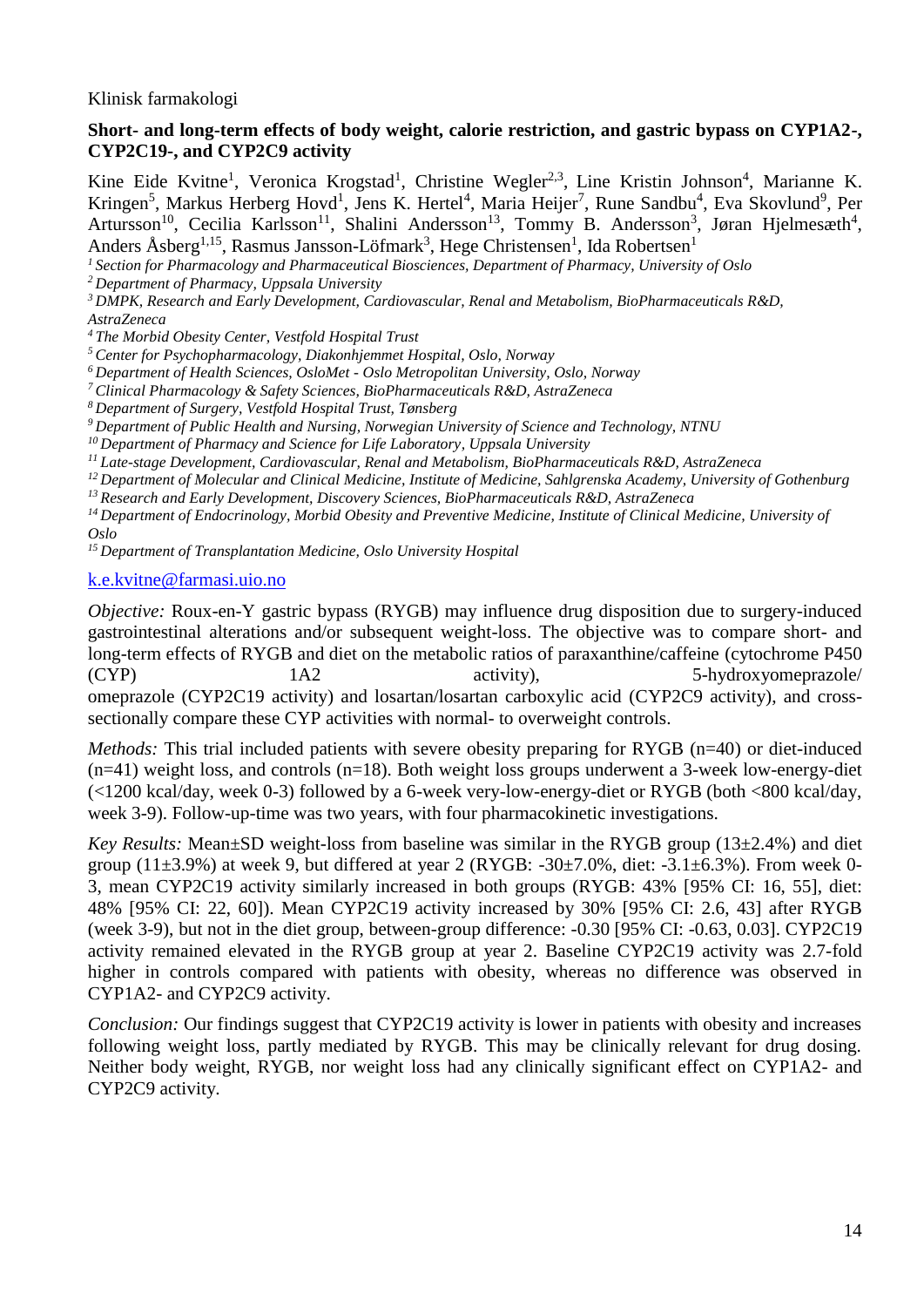Klinisk farmakologi

#### **Short- and long-term effects of body weight, calorie restriction, and gastric bypass on CYP1A2-, CYP2C19-, and CYP2C9 activity**

Kine Eide Kvitne<sup>1</sup>, Veronica Krogstad<sup>1</sup>, Christine Wegler<sup>2,3</sup>, Line Kristin Johnson<sup>4</sup>, Marianne K. Kringen<sup>5</sup>, Markus Herberg Hovd<sup>1</sup>, Jens K. Hertel<sup>4</sup>, Maria Heijer<sup>7</sup>, Rune Sandbu<sup>4</sup>, Eva Skovlund<sup>9</sup>, Per Artursson<sup>10</sup>, Cecilia Karlsson<sup>11</sup>, Shalini Andersson<sup>13</sup>, Tommy B. Andersson<sup>3</sup>, Jøran Hjelmesæth<sup>4</sup>, Anders Åsberg<sup>1,15</sup>, Rasmus Jansson-Löfmark<sup>3</sup>, Hege Christensen<sup>1</sup>, Ida Robertsen<sup>1</sup>

*<sup>1</sup> Section for Pharmacology and Pharmaceutical Biosciences, Department of Pharmacy, University of Oslo*

*<sup>2</sup> Department of Pharmacy, Uppsala University*

*<sup>3</sup> DMPK, Research and Early Development, Cardiovascular, Renal and Metabolism, BioPharmaceuticals R&D, AstraZeneca*

*<sup>4</sup> The Morbid Obesity Center, Vestfold Hospital Trust*

*<sup>5</sup> Center for Psychopharmacology, Diakonhjemmet Hospital, Oslo, Norway*

*<sup>6</sup> Department of Health Sciences, OsloMet - Oslo Metropolitan University, Oslo, Norway*

*<sup>7</sup> Clinical Pharmacology & Safety Sciences, BioPharmaceuticals R&D, AstraZeneca*

*<sup>8</sup> Department of Surgery, Vestfold Hospital Trust, Tønsberg*

*<sup>9</sup> Department of Public Health and Nursing, Norwegian University of Science and Technology, NTNU*

*<sup>10</sup> Department of Pharmacy and Science for Life Laboratory, Uppsala University*

*<sup>11</sup> Late-stage Development, Cardiovascular, Renal and Metabolism, BioPharmaceuticals R&D, AstraZeneca*

*<sup>12</sup> Department of Molecular and Clinical Medicine, Institute of Medicine, Sahlgrenska Academy, University of Gothenburg <sup>13</sup> Research and Early Development, Discovery Sciences, BioPharmaceuticals R&D, AstraZeneca*

*<sup>14</sup> Department of Endocrinology, Morbid Obesity and Preventive Medicine, Institute of Clinical Medicine, University of Oslo*

*<sup>15</sup> Department of Transplantation Medicine, Oslo University Hospital*

[k.e.kvitne@farmasi.uio.no](mailto:k.e.kvitne@farmasi.uio.no)

*Objective:* Roux-en-Y gastric bypass (RYGB) may influence drug disposition due to surgery-induced gastrointestinal alterations and/or subsequent weight-loss. The objective was to compare short- and long-term effects of RYGB and diet on the metabolic ratios of paraxanthine/caffeine (cytochrome P450 (CYP) 1A2 activity), 5-hydroxyomeprazole/ omeprazole (CYP2C19 activity) and losartan/losartan carboxylic acid (CYP2C9 activity), and crosssectionally compare these CYP activities with normal- to overweight controls.

*Methods:* This trial included patients with severe obesity preparing for RYGB (n=40) or diet-induced  $(n=41)$  weight loss, and controls  $(n=18)$ . Both weight loss groups underwent a 3-week low-energy-diet (<1200 kcal/day, week 0-3) followed by a 6-week very-low-energy-diet or RYGB (both <800 kcal/day, week 3-9). Follow-up-time was two years, with four pharmacokinetic investigations.

*Key Results:* Mean±SD weight-loss from baseline was similar in the RYGB group (13±2.4%) and diet group (11 $\pm$ 3.9%) at week 9, but differed at year 2 (RYGB:  $-30\pm7.0$ %, diet:  $-3.1\pm6.3$ %). From week 0-3, mean CYP2C19 activity similarly increased in both groups (RYGB: 43% [95% CI: 16, 55], diet: 48% [95% CI: 22, 60]). Mean CYP2C19 activity increased by 30% [95% CI: 2.6, 43] after RYGB (week 3-9), but not in the diet group, between-group difference: -0.30 [95% CI: -0.63, 0.03]. CYP2C19 activity remained elevated in the RYGB group at year 2. Baseline CYP2C19 activity was 2.7-fold higher in controls compared with patients with obesity, whereas no difference was observed in CYP1A2- and CYP2C9 activity.

*Conclusion:* Our findings suggest that CYP2C19 activity is lower in patients with obesity and increases following weight loss, partly mediated by RYGB. This may be clinically relevant for drug dosing. Neither body weight, RYGB, nor weight loss had any clinically significant effect on CYP1A2- and CYP2C9 activity.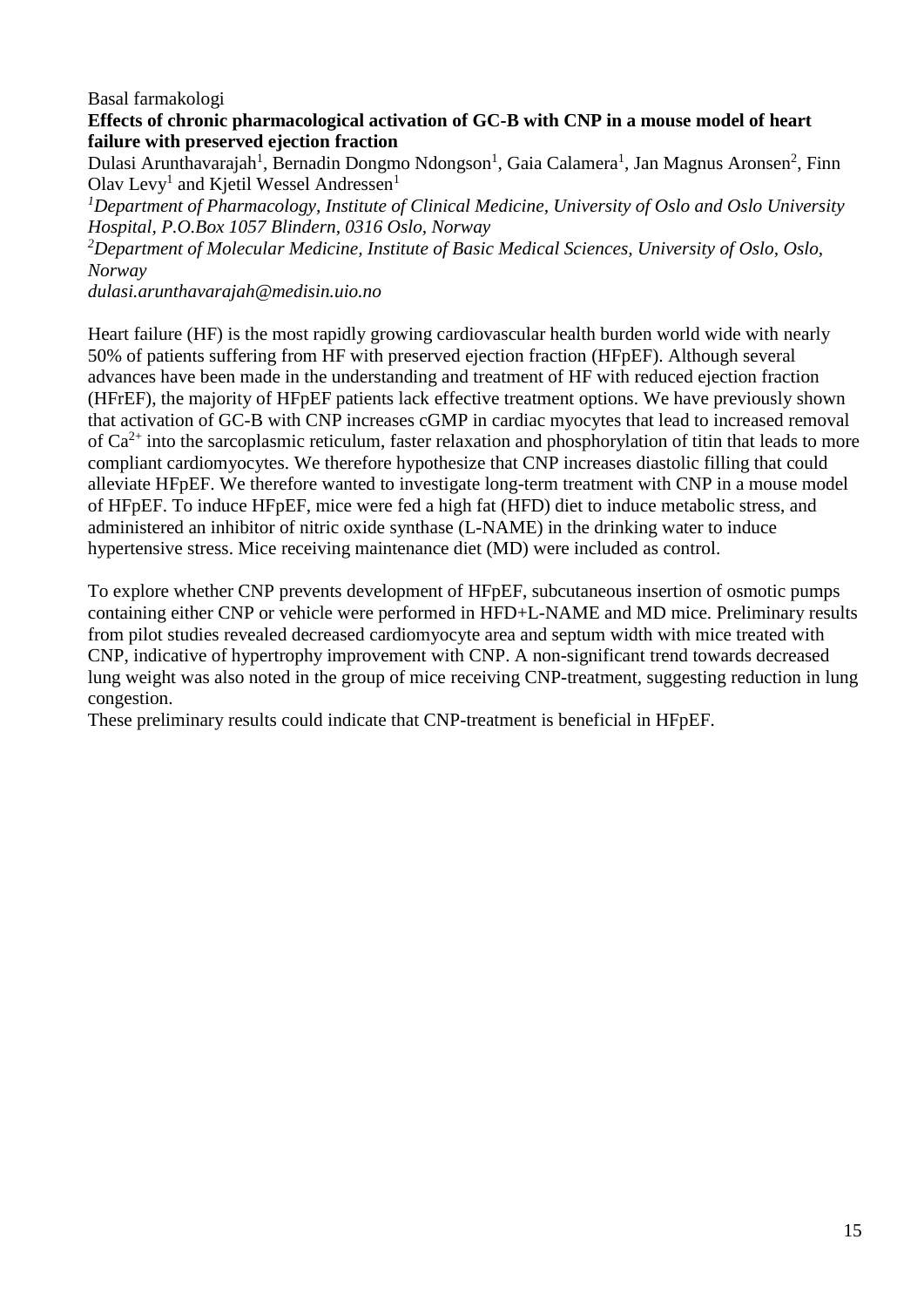## Basal farmakologi

## **Effects of chronic pharmacological activation of GC-B with CNP in a mouse model of heart failure with preserved ejection fraction**

Dulasi Arunthavarajah<sup>1</sup>, Bernadin Dongmo Ndongson<sup>1</sup>, Gaia Calamera<sup>1</sup>, Jan Magnus Aronsen<sup>2</sup>, Finn Olav Levy<sup>1</sup> and Kjetil Wessel Andressen<sup>1</sup>

*<sup>1</sup>Department of Pharmacology, Institute of Clinical Medicine, University of Oslo and Oslo University Hospital, P.O.Box 1057 Blindern, 0316 Oslo, Norway*

*<sup>2</sup>Department of Molecular Medicine, Institute of Basic Medical Sciences, University of Oslo, Oslo, Norway*

*dulasi.arunthavarajah@medisin.uio.no*

Heart failure (HF) is the most rapidly growing cardiovascular health burden world wide with nearly 50% of patients suffering from HF with preserved ejection fraction (HFpEF). Although several advances have been made in the understanding and treatment of HF with reduced ejection fraction (HFrEF), the majority of HFpEF patients lack effective treatment options. We have previously shown that activation of GC-B with CNP increases cGMP in cardiac myocytes that lead to increased removal of  $Ca^{2+}$  into the sarcoplasmic reticulum, faster relaxation and phosphorylation of titin that leads to more compliant cardiomyocytes. We therefore hypothesize that CNP increases diastolic filling that could alleviate HFpEF. We therefore wanted to investigate long-term treatment with CNP in a mouse model of HFpEF. To induce HFpEF, mice were fed a high fat (HFD) diet to induce metabolic stress, and administered an inhibitor of nitric oxide synthase (L-NAME) in the drinking water to induce hypertensive stress. Mice receiving maintenance diet (MD) were included as control.

To explore whether CNP prevents development of HFpEF, subcutaneous insertion of osmotic pumps containing either CNP or vehicle were performed in HFD+L-NAME and MD mice. Preliminary results from pilot studies revealed decreased cardiomyocyte area and septum width with mice treated with CNP, indicative of hypertrophy improvement with CNP. A non-significant trend towards decreased lung weight was also noted in the group of mice receiving CNP-treatment, suggesting reduction in lung congestion.

These preliminary results could indicate that CNP-treatment is beneficial in HFpEF.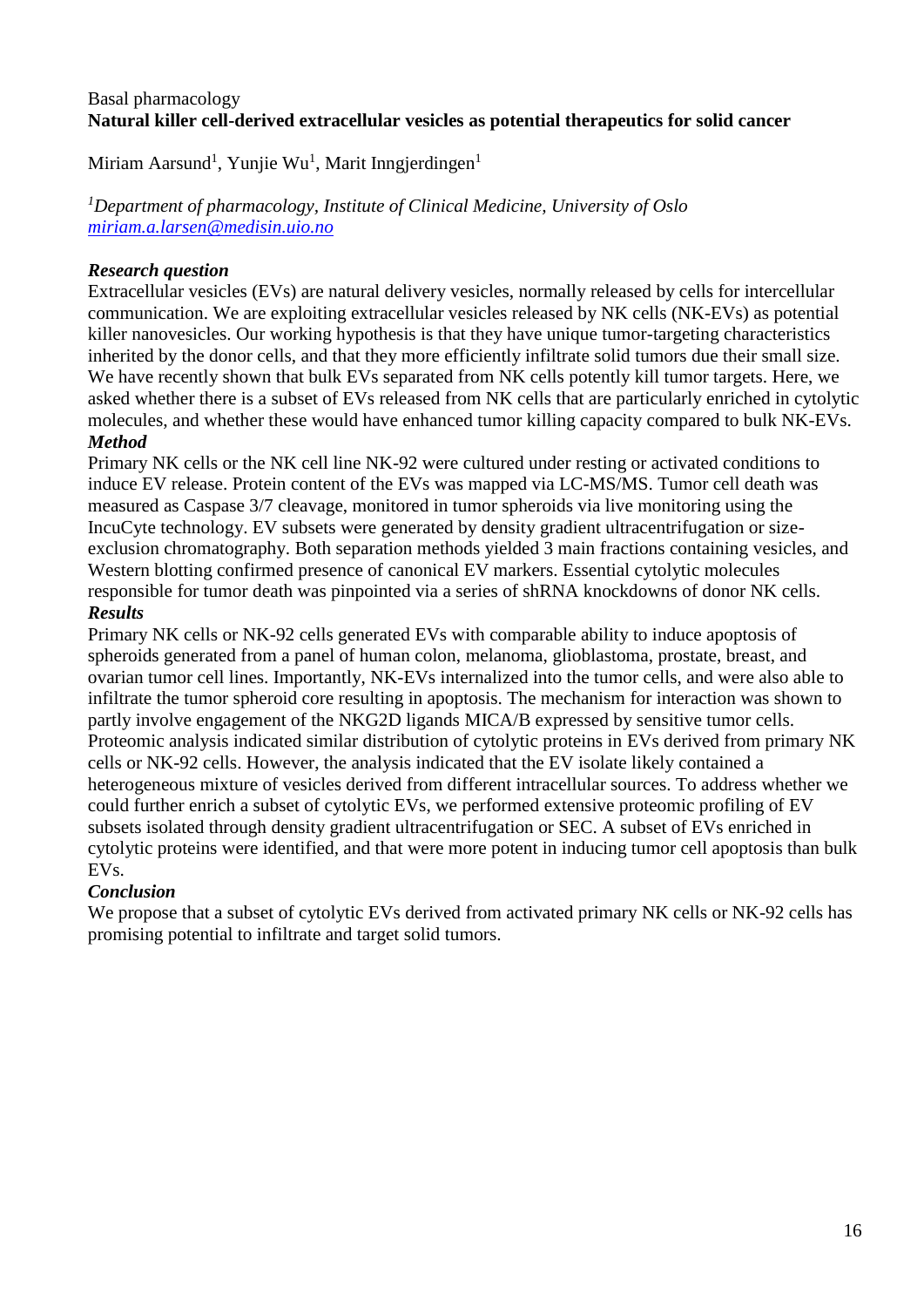## Basal pharmacology **Natural killer cell-derived extracellular vesicles as potential therapeutics for solid cancer**

Miriam Aarsund<sup>1</sup>, Yunjie Wu<sup>1</sup>, Marit Inngjerdingen<sup>1</sup>

*<sup>1</sup>Department of pharmacology, Institute of Clinical Medicine, University of Oslo <miriam.a.larsen@medisin.uio.no>*

# *Research question*

Extracellular vesicles (EVs) are natural delivery vesicles, normally released by cells for intercellular communication. We are exploiting extracellular vesicles released by NK cells (NK-EVs) as potential killer nanovesicles. Our working hypothesis is that they have unique tumor-targeting characteristics inherited by the donor cells, and that they more efficiently infiltrate solid tumors due their small size. We have recently shown that bulk EVs separated from NK cells potently kill tumor targets. Here, we asked whether there is a subset of EVs released from NK cells that are particularly enriched in cytolytic molecules, and whether these would have enhanced tumor killing capacity compared to bulk NK-EVs. *Method* 

Primary NK cells or the NK cell line NK-92 were cultured under resting or activated conditions to induce EV release. Protein content of the EVs was mapped via LC-MS/MS. Tumor cell death was measured as Caspase 3/7 cleavage, monitored in tumor spheroids via live monitoring using the IncuCyte technology. EV subsets were generated by density gradient ultracentrifugation or sizeexclusion chromatography. Both separation methods yielded 3 main fractions containing vesicles, and Western blotting confirmed presence of canonical EV markers. Essential cytolytic molecules responsible for tumor death was pinpointed via a series of shRNA knockdowns of donor NK cells. *Results* 

## Primary NK cells or NK-92 cells generated EVs with comparable ability to induce apoptosis of spheroids generated from a panel of human colon, melanoma, glioblastoma, prostate, breast, and ovarian tumor cell lines. Importantly, NK-EVs internalized into the tumor cells, and were also able to infiltrate the tumor spheroid core resulting in apoptosis. The mechanism for interaction was shown to partly involve engagement of the NKG2D ligands MICA/B expressed by sensitive tumor cells. Proteomic analysis indicated similar distribution of cytolytic proteins in EVs derived from primary NK cells or NK-92 cells. However, the analysis indicated that the EV isolate likely contained a heterogeneous mixture of vesicles derived from different intracellular sources. To address whether we could further enrich a subset of cytolytic EVs, we performed extensive proteomic profiling of EV subsets isolated through density gradient ultracentrifugation or SEC. A subset of EVs enriched in cytolytic proteins were identified, and that were more potent in inducing tumor cell apoptosis than bulk EVs.

## *Conclusion*

We propose that a subset of cytolytic EVs derived from activated primary NK cells or NK-92 cells has promising potential to infiltrate and target solid tumors.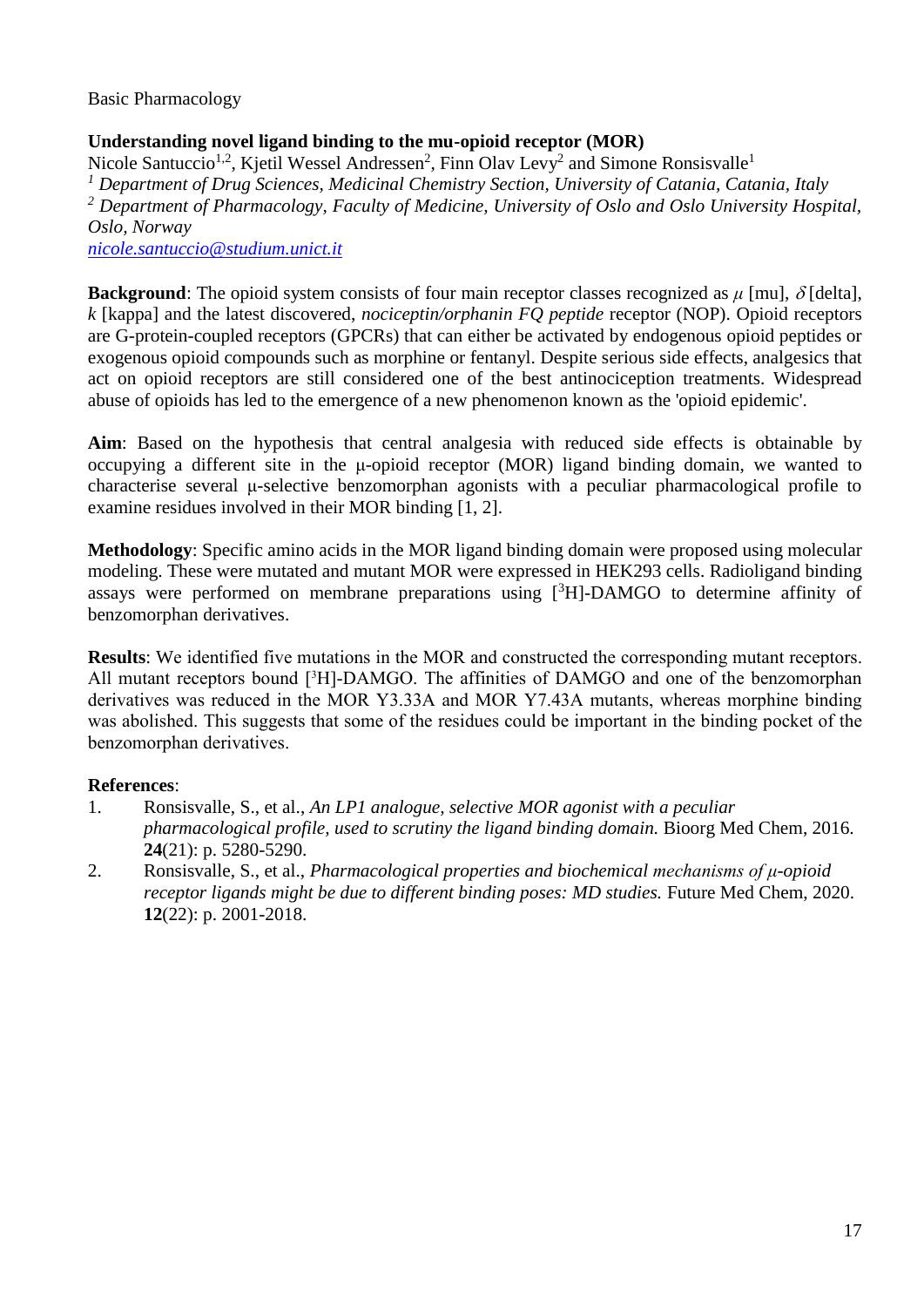Basic Pharmacology

# **Understanding novel ligand binding to the mu-opioid receptor (MOR)**

Nicole Santuccio<sup>1,2</sup>, Kjetil Wessel Andressen<sup>2</sup>, Finn Olav Levy<sup>2</sup> and Simone Ronsisvalle<sup>1</sup> *<sup>1</sup> Department of Drug Sciences, Medicinal Chemistry Section, University of Catania, Catania, Italy <sup>2</sup> Department of Pharmacology, Faculty of Medicine, University of Oslo and Oslo University Hospital, Oslo, Norway [nicole.santuccio@studium.unict.it](mailto:nicole.santuccio@studium.unict.it)*

**Background**: The opioid system consists of four main receptor classes recognized as  $\mu$  [mu],  $\delta$  [delta], *k* [kappa] and the latest discovered, *nociceptin/orphanin FQ peptide* receptor (NOP). Opioid receptors are G-protein-coupled receptors (GPCRs) that can either be activated by endogenous opioid peptides or exogenous opioid compounds such as morphine or fentanyl. Despite serious side effects, analgesics that act on opioid receptors are still considered one of the best antinociception treatments. Widespread abuse of opioids has led to the emergence of a new phenomenon known as the 'opioid epidemic'.

**Aim**: Based on the hypothesis that central analgesia with reduced side effects is obtainable by occupying a different site in the μ-opioid receptor (MOR) ligand binding domain, we wanted to characterise several μ-selective benzomorphan agonists with a peculiar pharmacological profile to examine residues involved in their MOR binding [1, 2].

**Methodology**: Specific amino acids in the MOR ligand binding domain were proposed using molecular modeling. These were mutated and mutant MOR were expressed in HEK293 cells. Radioligand binding assays were performed on membrane preparations using  $[3H]$ -DAMGO to determine affinity of benzomorphan derivatives.

**Results**: We identified five mutations in the MOR and constructed the corresponding mutant receptors. All mutant receptors bound [3H]-DAMGO. The affinities of DAMGO and one of the benzomorphan derivatives was reduced in the MOR Y3.33A and MOR Y7.43A mutants, whereas morphine binding was abolished. This suggests that some of the residues could be important in the binding pocket of the benzomorphan derivatives.

## **References**:

- 1. Ronsisvalle, S., et al., *An LP1 analogue, selective MOR agonist with a peculiar pharmacological profile, used to scrutiny the ligand binding domain.* Bioorg Med Chem, 2016. **24**(21): p. 5280-5290.
- 2. Ronsisvalle, S., et al., *Pharmacological properties and biochemical mechanisms of μ-opioid receptor ligands might be due to different binding poses: MD studies.* Future Med Chem, 2020. **12**(22): p. 2001-2018.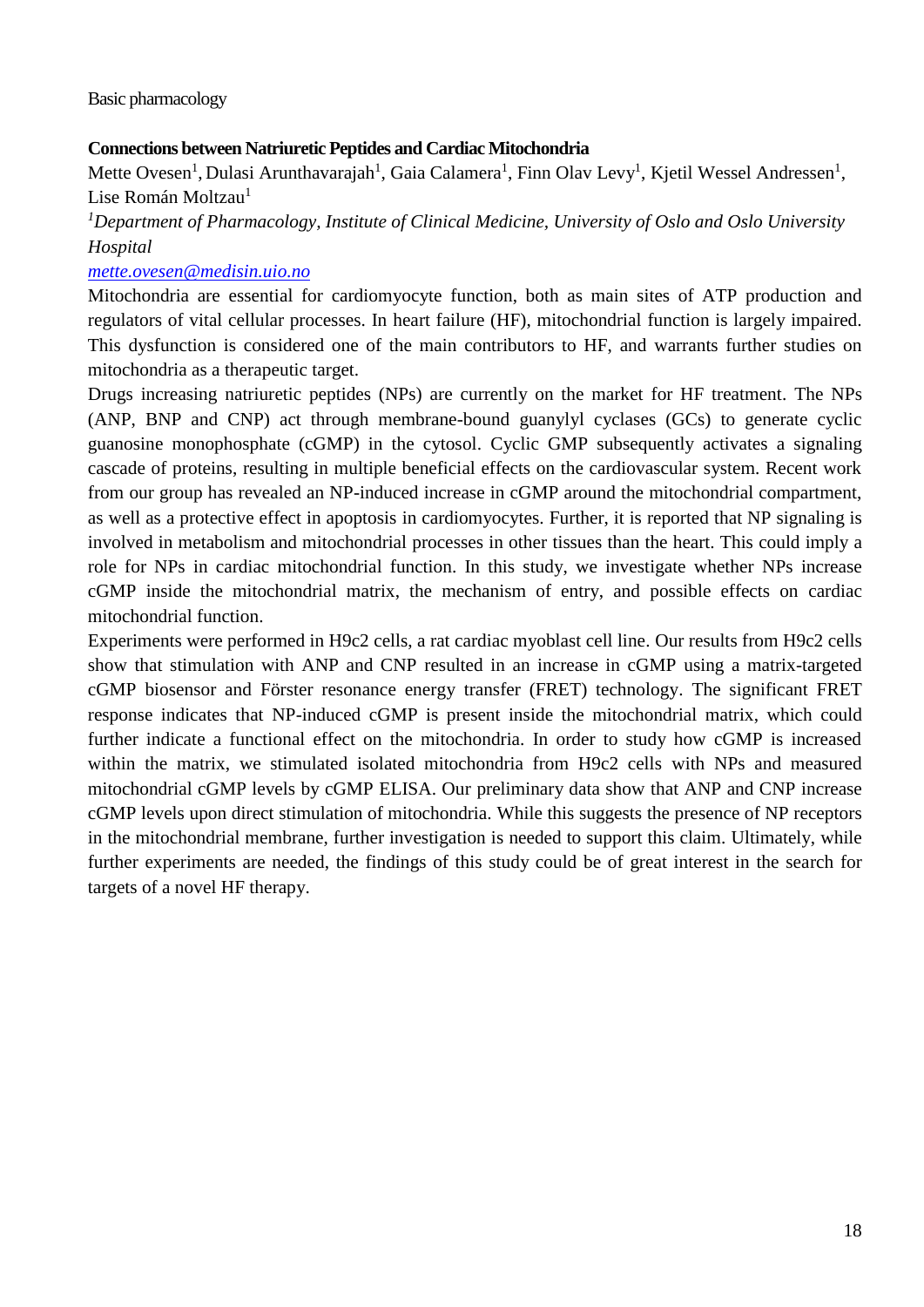#### Basic pharmacology

#### **Connections between Natriuretic Peptides and Cardiac Mitochondria**

Mette Ovesen<sup>1</sup>, Dulasi Arunthavarajah<sup>1</sup>, Gaia Calamera<sup>1</sup>, Finn Olav Levy<sup>1</sup>, Kjetil Wessel Andressen<sup>1</sup>, Lise Román Moltzau<sup>1</sup>

*<sup>1</sup>Department of Pharmacology, Institute of Clinical Medicine, University of Oslo and Oslo University Hospital*

#### *[mette.ovesen@medisin.uio.no](mailto:mette.ovesen@medisin.uio.no)*

Mitochondria are essential for cardiomyocyte function, both as main sites of ATP production and regulators of vital cellular processes. In heart failure (HF), mitochondrial function is largely impaired. This dysfunction is considered one of the main contributors to HF, and warrants further studies on mitochondria as a therapeutic target.

Drugs increasing natriuretic peptides (NPs) are currently on the market for HF treatment. The NPs (ANP, BNP and CNP) act through membrane-bound guanylyl cyclases (GCs) to generate cyclic guanosine monophosphate (cGMP) in the cytosol. Cyclic GMP subsequently activates a signaling cascade of proteins, resulting in multiple beneficial effects on the cardiovascular system. Recent work from our group has revealed an NP-induced increase in cGMP around the mitochondrial compartment, as well as a protective effect in apoptosis in cardiomyocytes. Further, it is reported that NP signaling is involved in metabolism and mitochondrial processes in other tissues than the heart. This could imply a role for NPs in cardiac mitochondrial function. In this study, we investigate whether NPs increase cGMP inside the mitochondrial matrix, the mechanism of entry, and possible effects on cardiac mitochondrial function.

Experiments were performed in H9c2 cells, a rat cardiac myoblast cell line. Our results from H9c2 cells show that stimulation with ANP and CNP resulted in an increase in cGMP using a matrix-targeted cGMP biosensor and Förster resonance energy transfer (FRET) technology. The significant FRET response indicates that NP-induced cGMP is present inside the mitochondrial matrix, which could further indicate a functional effect on the mitochondria. In order to study how cGMP is increased within the matrix, we stimulated isolated mitochondria from H9c2 cells with NPs and measured mitochondrial cGMP levels by cGMP ELISA. Our preliminary data show that ANP and CNP increase cGMP levels upon direct stimulation of mitochondria. While this suggests the presence of NP receptors in the mitochondrial membrane, further investigation is needed to support this claim. Ultimately, while further experiments are needed, the findings of this study could be of great interest in the search for targets of a novel HF therapy.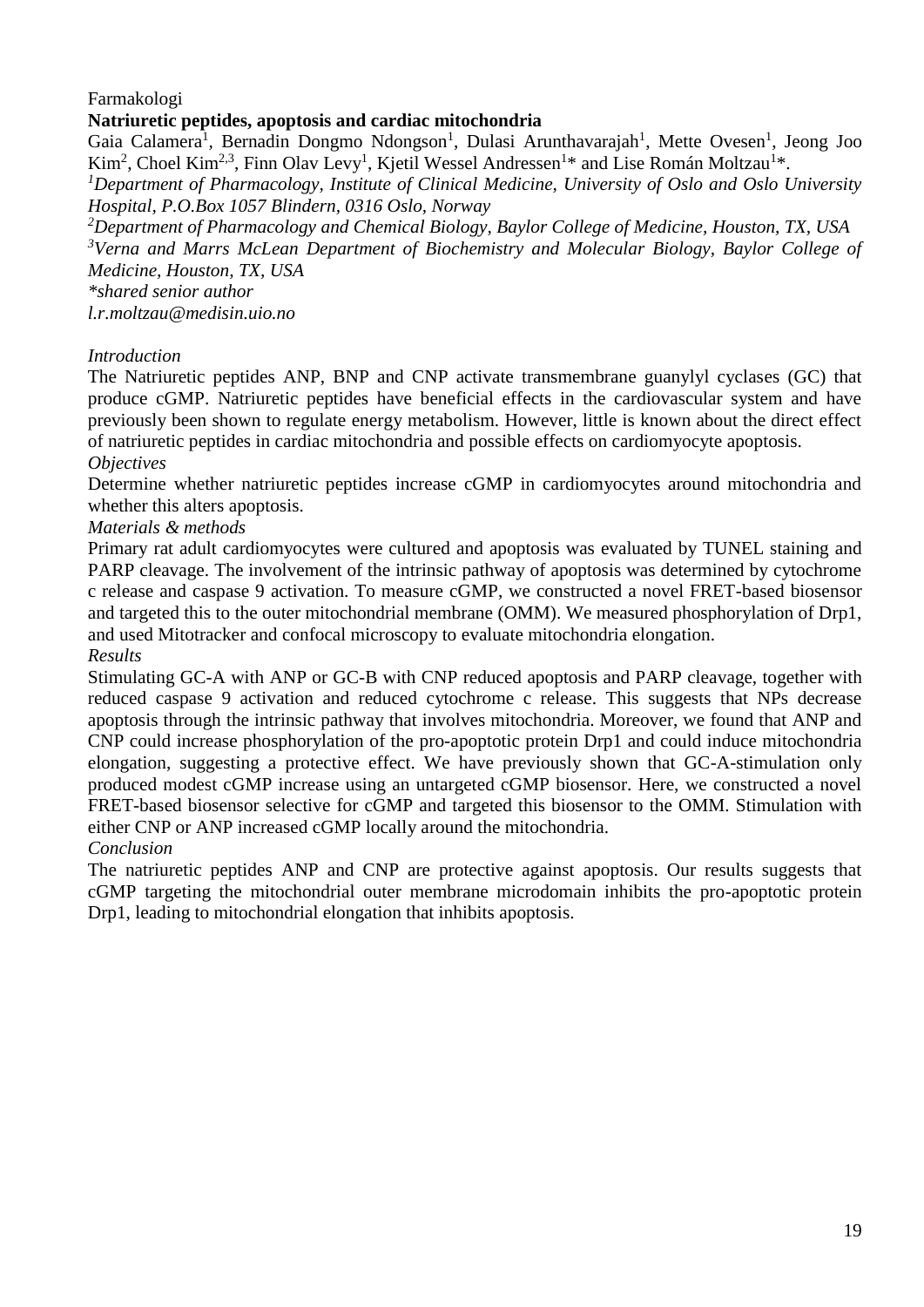Farmakologi

## **Natriuretic peptides, apoptosis and cardiac mitochondria**

Gaia Calamera<sup>1</sup>, Bernadin Dongmo Ndongson<sup>1</sup>, Dulasi Arunthavarajah<sup>1</sup>, Mette Ovesen<sup>1</sup>, Jeong Joo Kim<sup>2</sup>, Choel Kim<sup>2,3</sup>, Finn Olav Levy<sup>1</sup>, Kjetil Wessel Andressen<sup>1\*</sup> and Lise Román Moltzau<sup>1\*</sup>.

*<sup>1</sup>Department of Pharmacology, Institute of Clinical Medicine, University of Oslo and Oslo University Hospital, P.O.Box 1057 Blindern, 0316 Oslo, Norway* 

*<sup>2</sup>Department of Pharmacology and Chemical Biology, Baylor College of Medicine, Houston, TX, USA <sup>3</sup>Verna and Marrs McLean Department of Biochemistry and Molecular Biology, Baylor College of Medicine, Houston, TX, USA* 

*\*shared senior author* 

*l.r.moltzau@medisin.uio.no*

## *Introduction*

The Natriuretic peptides ANP, BNP and CNP activate transmembrane guanylyl cyclases (GC) that produce cGMP. Natriuretic peptides have beneficial effects in the cardiovascular system and have previously been shown to regulate energy metabolism. However, little is known about the direct effect of natriuretic peptides in cardiac mitochondria and possible effects on cardiomyocyte apoptosis. *Objectives*

Determine whether natriuretic peptides increase cGMP in cardiomyocytes around mitochondria and whether this alters apoptosis.

#### *Materials & methods*

Primary rat adult cardiomyocytes were cultured and apoptosis was evaluated by TUNEL staining and PARP cleavage. The involvement of the intrinsic pathway of apoptosis was determined by cytochrome c release and caspase 9 activation. To measure cGMP, we constructed a novel FRET-based biosensor and targeted this to the outer mitochondrial membrane (OMM). We measured phosphorylation of Drp1, and used Mitotracker and confocal microscopy to evaluate mitochondria elongation. *Results* 

Stimulating GC-A with ANP or GC-B with CNP reduced apoptosis and PARP cleavage, together with reduced caspase 9 activation and reduced cytochrome c release. This suggests that NPs decrease apoptosis through the intrinsic pathway that involves mitochondria. Moreover, we found that ANP and CNP could increase phosphorylation of the pro-apoptotic protein Drp1 and could induce mitochondria elongation, suggesting a protective effect. We have previously shown that GC-A-stimulation only produced modest cGMP increase using an untargeted cGMP biosensor. Here, we constructed a novel FRET-based biosensor selective for cGMP and targeted this biosensor to the OMM. Stimulation with either CNP or ANP increased cGMP locally around the mitochondria.

#### *Conclusion*

The natriuretic peptides ANP and CNP are protective against apoptosis. Our results suggests that cGMP targeting the mitochondrial outer membrane microdomain inhibits the pro-apoptotic protein Drp1, leading to mitochondrial elongation that inhibits apoptosis.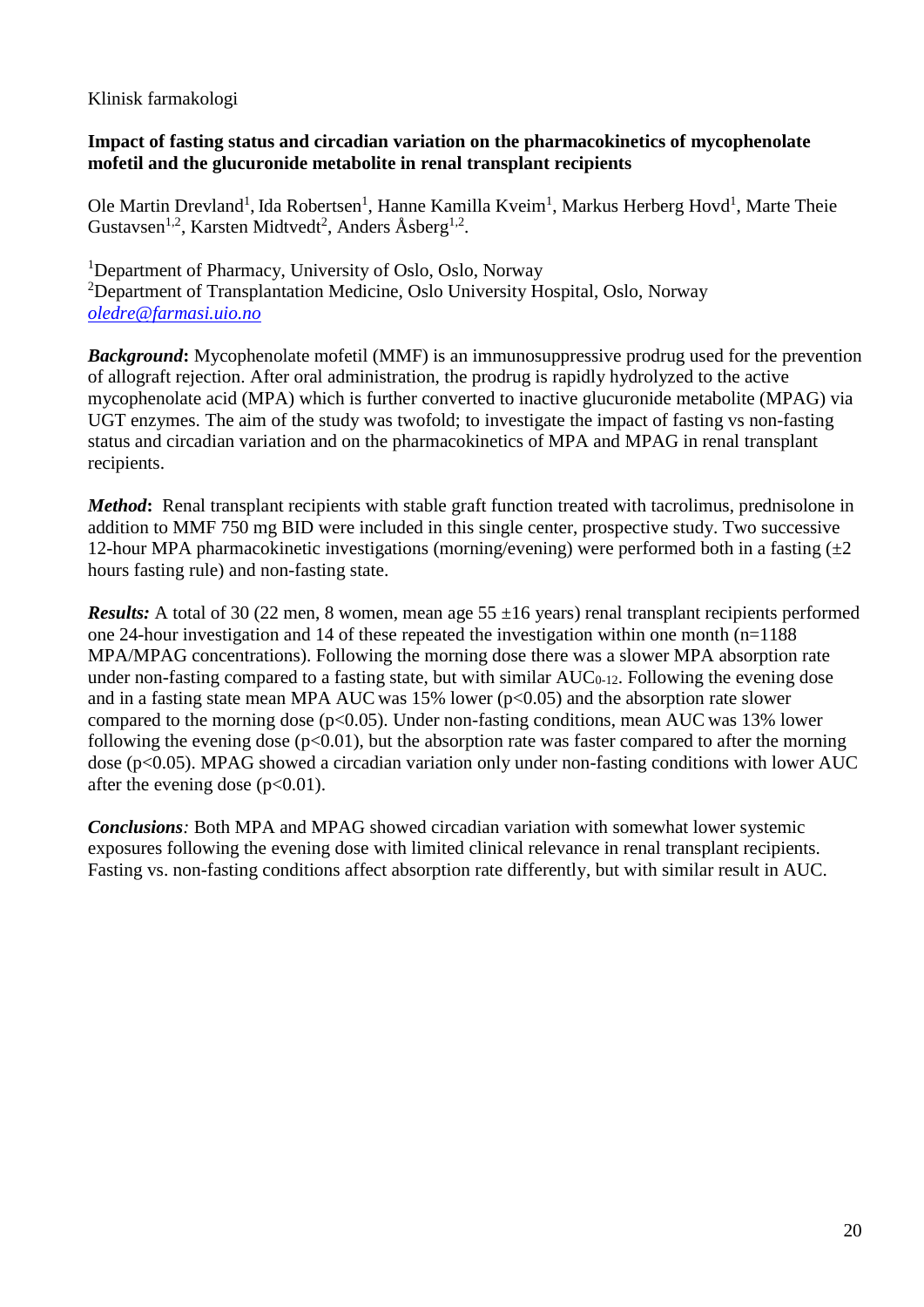## Klinisk farmakologi

## **Impact of fasting status and circadian variation on the pharmacokinetics of mycophenolate mofetil and the glucuronide metabolite in renal transplant recipients**

Ole Martin Drevland<sup>1</sup>, Ida Robertsen<sup>1</sup>, Hanne Kamilla Kveim<sup>1</sup>, Markus Herberg Hovd<sup>1</sup>, Marte Theie Gustavsen<sup>1,2</sup>, Karsten Midtvedt<sup>2</sup>, Anders Åsberg<sup>1,2</sup>.

<sup>1</sup>Department of Pharmacy, University of Oslo, Oslo, Norway <sup>2</sup>Department of Transplantation Medicine, Oslo University Hospital, Oslo, Norway *[oledre@farmasi.uio.no](mailto:oledre@farmasi.uio.no)*

*Background***:** Mycophenolate mofetil (MMF) is an immunosuppressive prodrug used for the prevention of allograft rejection. After oral administration, the prodrug is rapidly hydrolyzed to the active mycophenolate acid (MPA) which is further converted to inactive glucuronide metabolite (MPAG) via UGT enzymes. The aim of the study was twofold; to investigate the impact of fasting vs non-fasting status and circadian variation and on the pharmacokinetics of MPA and MPAG in renal transplant recipients.

*Method*: Renal transplant recipients with stable graft function treated with tacrolimus, prednisolone in addition to MMF 750 mg BID were included in this single center, prospective study. Two successive 12-hour MPA pharmacokinetic investigations (morning/evening) were performed both in a fasting  $(\pm 2)$ hours fasting rule) and non-fasting state.

*Results:* A total of 30 (22 men, 8 women, mean age  $55 \pm 16$  years) renal transplant recipients performed one 24-hour investigation and 14 of these repeated the investigation within one month (n=1188 MPA/MPAG concentrations). Following the morning dose there was a slower MPA absorption rate under non-fasting compared to a fasting state, but with similar  $AUC_{0-12}$ . Following the evening dose and in a fasting state mean MPA AUC was  $15\%$  lower (p<0.05) and the absorption rate slower compared to the morning dose  $(p<0.05)$ . Under non-fasting conditions, mean AUC was 13% lower following the evening dose  $(p<0.01)$ , but the absorption rate was faster compared to after the morning dose (p<0.05). MPAG showed a circadian variation only under non-fasting conditions with lower AUC after the evening dose  $(p<0.01)$ .

*Conclusions:* Both MPA and MPAG showed circadian variation with somewhat lower systemic exposures following the evening dose with limited clinical relevance in renal transplant recipients. Fasting vs. non-fasting conditions affect absorption rate differently, but with similar result in AUC.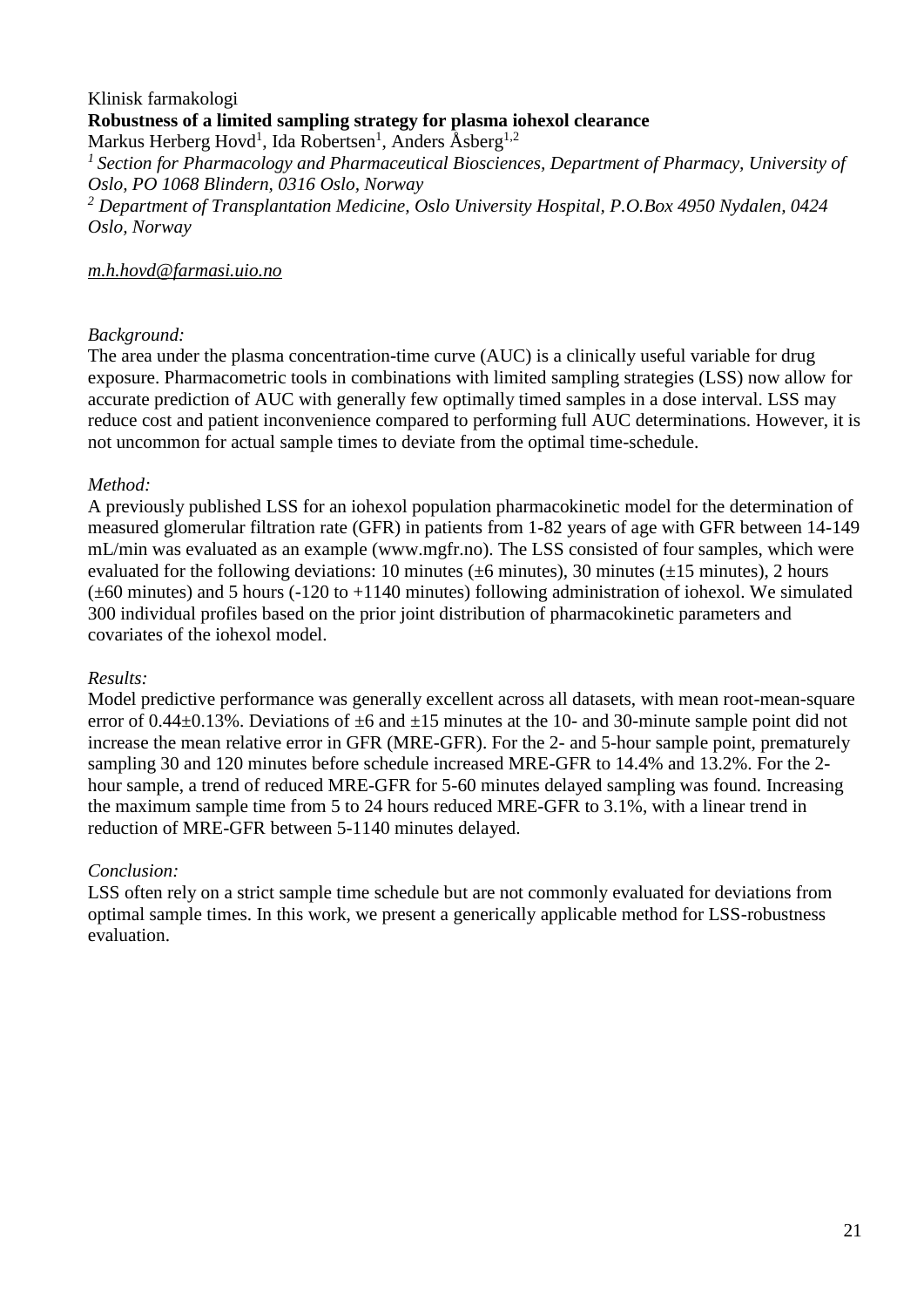## Klinisk farmakologi **Robustness of a limited sampling strategy for plasma iohexol clearance** Markus Herberg Hovd<sup>1</sup>, Ida Robertsen<sup>1</sup>, Anders Åsberg<sup>1,2</sup>

*<sup>1</sup>Section for Pharmacology and Pharmaceutical Biosciences, Department of Pharmacy, University of Oslo, PO 1068 Blindern, 0316 Oslo, Norway*

*<sup>2</sup> Department of Transplantation Medicine, Oslo University Hospital, P.O.Box 4950 Nydalen, 0424 Oslo, Norway*

#### *m.h.hovd@farmasi.uio.no*

## *Background:*

The area under the plasma concentration-time curve (AUC) is a clinically useful variable for drug exposure. Pharmacometric tools in combinations with limited sampling strategies (LSS) now allow for accurate prediction of AUC with generally few optimally timed samples in a dose interval. LSS may reduce cost and patient inconvenience compared to performing full AUC determinations. However, it is not uncommon for actual sample times to deviate from the optimal time-schedule.

#### *Method:*

A previously published LSS for an iohexol population pharmacokinetic model for the determination of measured glomerular filtration rate (GFR) in patients from 1-82 years of age with GFR between 14-149 mL/min was evaluated as an example (www.mgfr.no). The LSS consisted of four samples, which were evaluated for the following deviations: 10 minutes ( $\pm$ 6 minutes), 30 minutes ( $\pm$ 15 minutes), 2 hours  $(\pm 60 \text{ minutes})$  and 5 hours (-120 to +1140 minutes) following administration of iohexol. We simulated 300 individual profiles based on the prior joint distribution of pharmacokinetic parameters and covariates of the iohexol model.

## *Results:*

Model predictive performance was generally excellent across all datasets, with mean root-mean-square error of  $0.44\pm0.13$ %. Deviations of  $\pm6$  and  $\pm15$  minutes at the 10- and 30-minute sample point did not increase the mean relative error in GFR (MRE-GFR). For the 2- and 5-hour sample point, prematurely sampling 30 and 120 minutes before schedule increased MRE-GFR to 14.4% and 13.2%. For the 2 hour sample, a trend of reduced MRE-GFR for 5-60 minutes delayed sampling was found. Increasing the maximum sample time from 5 to 24 hours reduced MRE-GFR to 3.1%, with a linear trend in reduction of MRE-GFR between 5-1140 minutes delayed.

## *Conclusion:*

LSS often rely on a strict sample time schedule but are not commonly evaluated for deviations from optimal sample times. In this work, we present a generically applicable method for LSS-robustness evaluation.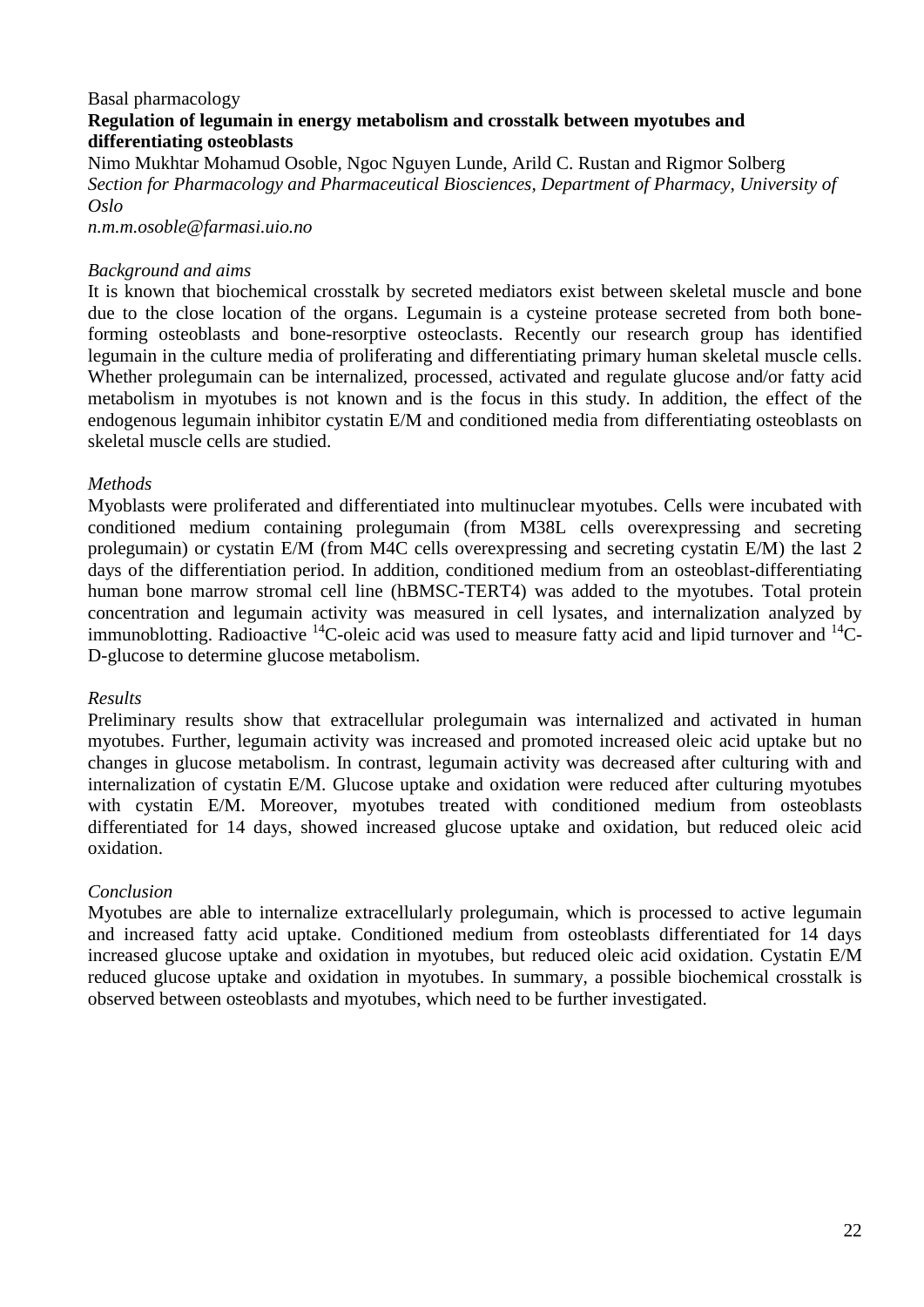#### Basal pharmacology **Regulation of legumain in energy metabolism and crosstalk between myotubes and differentiating osteoblasts**

Nimo Mukhtar Mohamud Osoble, Ngoc Nguyen Lunde, Arild C. Rustan and Rigmor Solberg *Section for Pharmacology and Pharmaceutical Biosciences, Department of Pharmacy, University of Oslo*

*n.m.m.osoble@farmasi.uio.no*

#### *Background and aims*

It is known that biochemical crosstalk by secreted mediators exist between skeletal muscle and bone due to the close location of the organs. Legumain is a cysteine protease secreted from both boneforming osteoblasts and bone-resorptive osteoclasts. Recently our research group has identified legumain in the culture media of proliferating and differentiating primary human skeletal muscle cells. Whether prolegumain can be internalized, processed, activated and regulate glucose and/or fatty acid metabolism in myotubes is not known and is the focus in this study. In addition, the effect of the endogenous legumain inhibitor cystatin E/M and conditioned media from differentiating osteoblasts on skeletal muscle cells are studied.

#### *Methods*

Myoblasts were proliferated and differentiated into multinuclear myotubes. Cells were incubated with conditioned medium containing prolegumain (from M38L cells overexpressing and secreting prolegumain) or cystatin E/M (from M4C cells overexpressing and secreting cystatin E/M) the last 2 days of the differentiation period. In addition, conditioned medium from an osteoblast-differentiating human bone marrow stromal cell line (hBMSC-TERT4) was added to the myotubes. Total protein concentration and legumain activity was measured in cell lysates, and internalization analyzed by immunoblotting. Radioactive  ${}^{14}C$ -oleic acid was used to measure fatty acid and lipid turnover and  ${}^{14}C$ -D-glucose to determine glucose metabolism.

#### *Results*

Preliminary results show that extracellular prolegumain was internalized and activated in human myotubes. Further, legumain activity was increased and promoted increased oleic acid uptake but no changes in glucose metabolism. In contrast, legumain activity was decreased after culturing with and internalization of cystatin E/M. Glucose uptake and oxidation were reduced after culturing myotubes with cystatin E/M. Moreover, myotubes treated with conditioned medium from osteoblasts differentiated for 14 days, showed increased glucose uptake and oxidation, but reduced oleic acid oxidation.

## *Conclusion*

Myotubes are able to internalize extracellularly prolegumain, which is processed to active legumain and increased fatty acid uptake. Conditioned medium from osteoblasts differentiated for 14 days increased glucose uptake and oxidation in myotubes, but reduced oleic acid oxidation. Cystatin E/M reduced glucose uptake and oxidation in myotubes. In summary, a possible biochemical crosstalk is observed between osteoblasts and myotubes, which need to be further investigated.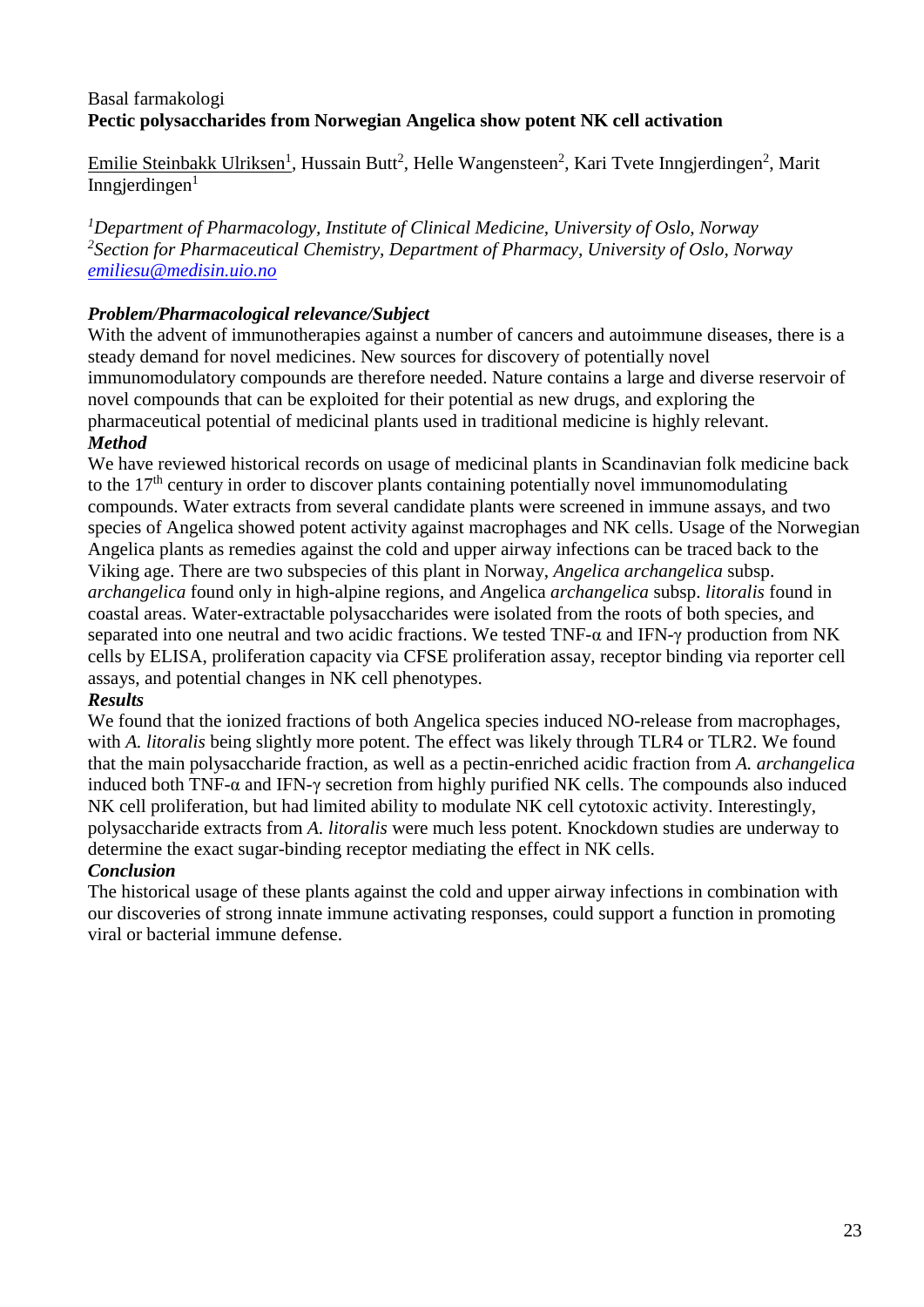# Basal farmakologi **Pectic polysaccharides from Norwegian Angelica show potent NK cell activation**

Emilie Steinbakk Ulriksen<sup>1</sup>, Hussain Butt<sup>2</sup>, Helle Wangensteen<sup>2</sup>, Kari Tvete Inngjerdingen<sup>2</sup>, Marit Inngjerdingen $1$ 

*<sup>1</sup>Department of Pharmacology, Institute of Clinical Medicine, University of Oslo, Norway 2 Section for Pharmaceutical Chemistry, Department of Pharmacy, University of Oslo, Norway [emiliesu@medisin.uio.no](mailto:emiliesu@medisin.uio.no)*

## *Problem/Pharmacological relevance/Subject*

With the advent of immunotherapies against a number of cancers and autoimmune diseases, there is a steady demand for novel medicines. New sources for discovery of potentially novel immunomodulatory compounds are therefore needed. Nature contains a large and diverse reservoir of novel compounds that can be exploited for their potential as new drugs, and exploring the pharmaceutical potential of medicinal plants used in traditional medicine is highly relevant. *Method*

We have reviewed historical records on usage of medicinal plants in Scandinavian folk medicine back to the  $17<sup>th</sup>$  century in order to discover plants containing potentially novel immunomodulating compounds. Water extracts from several candidate plants were screened in immune assays, and two species of Angelica showed potent activity against macrophages and NK cells. Usage of the Norwegian Angelica plants as remedies against the cold and upper airway infections can be traced back to the Viking age. There are two subspecies of this plant in Norway, *Angelica archangelica* subsp. *archangelica* found only in high-alpine regions, and *A*ngelica *archangelica* subsp. *litoralis* found in coastal areas. Water-extractable polysaccharides were isolated from the roots of both species, and separated into one neutral and two acidic fractions. We tested TNF-α and IFN-γ production from NK cells by ELISA, proliferation capacity via CFSE proliferation assay, receptor binding via reporter cell assays, and potential changes in NK cell phenotypes.

## *Results*

We found that the ionized fractions of both Angelica species induced NO-release from macrophages, with *A. litoralis* being slightly more potent. The effect was likely through TLR4 or TLR2. We found that the main polysaccharide fraction, as well as a pectin-enriched acidic fraction from *A. archangelica*  induced both TNF-α and IFN-γ secretion from highly purified NK cells. The compounds also induced NK cell proliferation, but had limited ability to modulate NK cell cytotoxic activity. Interestingly, polysaccharide extracts from *A. litoralis* were much less potent. Knockdown studies are underway to determine the exact sugar-binding receptor mediating the effect in NK cells.

# *Conclusion*

The historical usage of these plants against the cold and upper airway infections in combination with our discoveries of strong innate immune activating responses, could support a function in promoting viral or bacterial immune defense.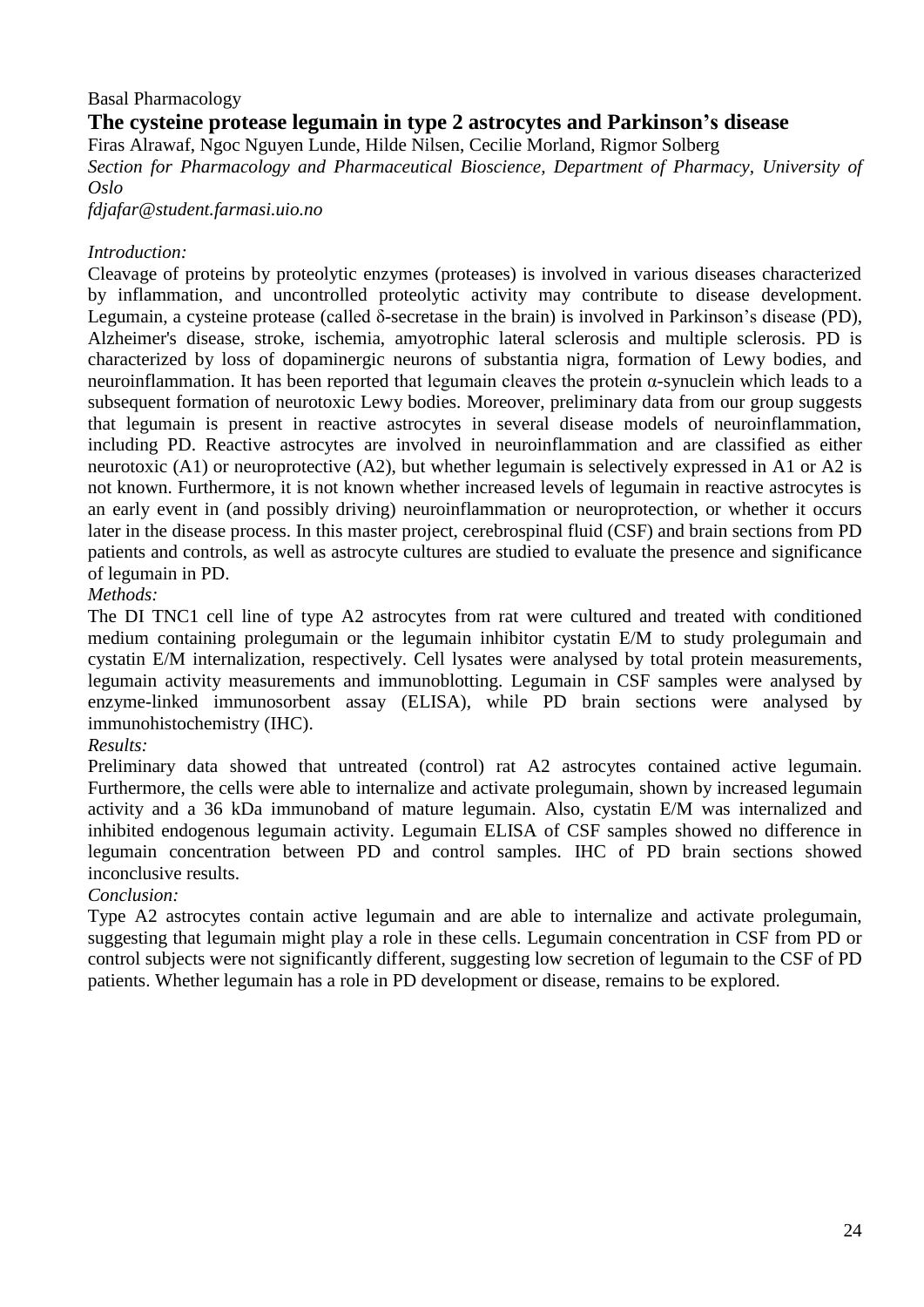## Basal Pharmacology

# **The cysteine protease legumain in type 2 astrocytes and Parkinson's disease**

Firas Alrawaf, Ngoc Nguyen Lunde, Hilde Nilsen, Cecilie Morland, Rigmor Solberg *Section for Pharmacology and Pharmaceutical Bioscience, Department of Pharmacy, University of Oslo*

*fdjafar@student.farmasi.uio.no*

#### *Introduction:*

Cleavage of proteins by proteolytic enzymes (proteases) is involved in various diseases characterized by inflammation, and uncontrolled proteolytic activity may contribute to disease development. Legumain, a cysteine protease (called δ-secretase in the brain) is involved in Parkinson's disease (PD), Alzheimer's disease, stroke, ischemia, amyotrophic lateral sclerosis and multiple sclerosis. PD is characterized by loss of dopaminergic neurons of substantia nigra, formation of Lewy bodies, and neuroinflammation. It has been reported that legumain cleaves the protein α-synuclein which leads to a subsequent formation of neurotoxic Lewy bodies. Moreover, preliminary data from our group suggests that legumain is present in reactive astrocytes in several disease models of neuroinflammation, including PD. Reactive astrocytes are involved in neuroinflammation and are classified as either neurotoxic (A1) or neuroprotective (A2), but whether legumain is selectively expressed in A1 or A2 is not known. Furthermore, it is not known whether increased levels of legumain in reactive astrocytes is an early event in (and possibly driving) neuroinflammation or neuroprotection, or whether it occurs later in the disease process. In this master project, cerebrospinal fluid (CSF) and brain sections from PD patients and controls, as well as astrocyte cultures are studied to evaluate the presence and significance of legumain in PD.

## *Methods:*

The DI TNC1 cell line of type A2 astrocytes from rat were cultured and treated with conditioned medium containing prolegumain or the legumain inhibitor cystatin E/M to study prolegumain and cystatin E/M internalization, respectively. Cell lysates were analysed by total protein measurements, legumain activity measurements and immunoblotting. Legumain in CSF samples were analysed by enzyme-linked immunosorbent assay (ELISA), while PD brain sections were analysed by immunohistochemistry (IHC).

## *Results:*

Preliminary data showed that untreated (control) rat A2 astrocytes contained active legumain. Furthermore, the cells were able to internalize and activate prolegumain, shown by increased legumain activity and a 36 kDa immunoband of mature legumain. Also, cystatin E/M was internalized and inhibited endogenous legumain activity. Legumain ELISA of CSF samples showed no difference in legumain concentration between PD and control samples. IHC of PD brain sections showed inconclusive results.

## *Conclusion:*

Type A2 astrocytes contain active legumain and are able to internalize and activate prolegumain, suggesting that legumain might play a role in these cells. Legumain concentration in CSF from PD or control subjects were not significantly different, suggesting low secretion of legumain to the CSF of PD patients. Whether legumain has a role in PD development or disease, remains to be explored.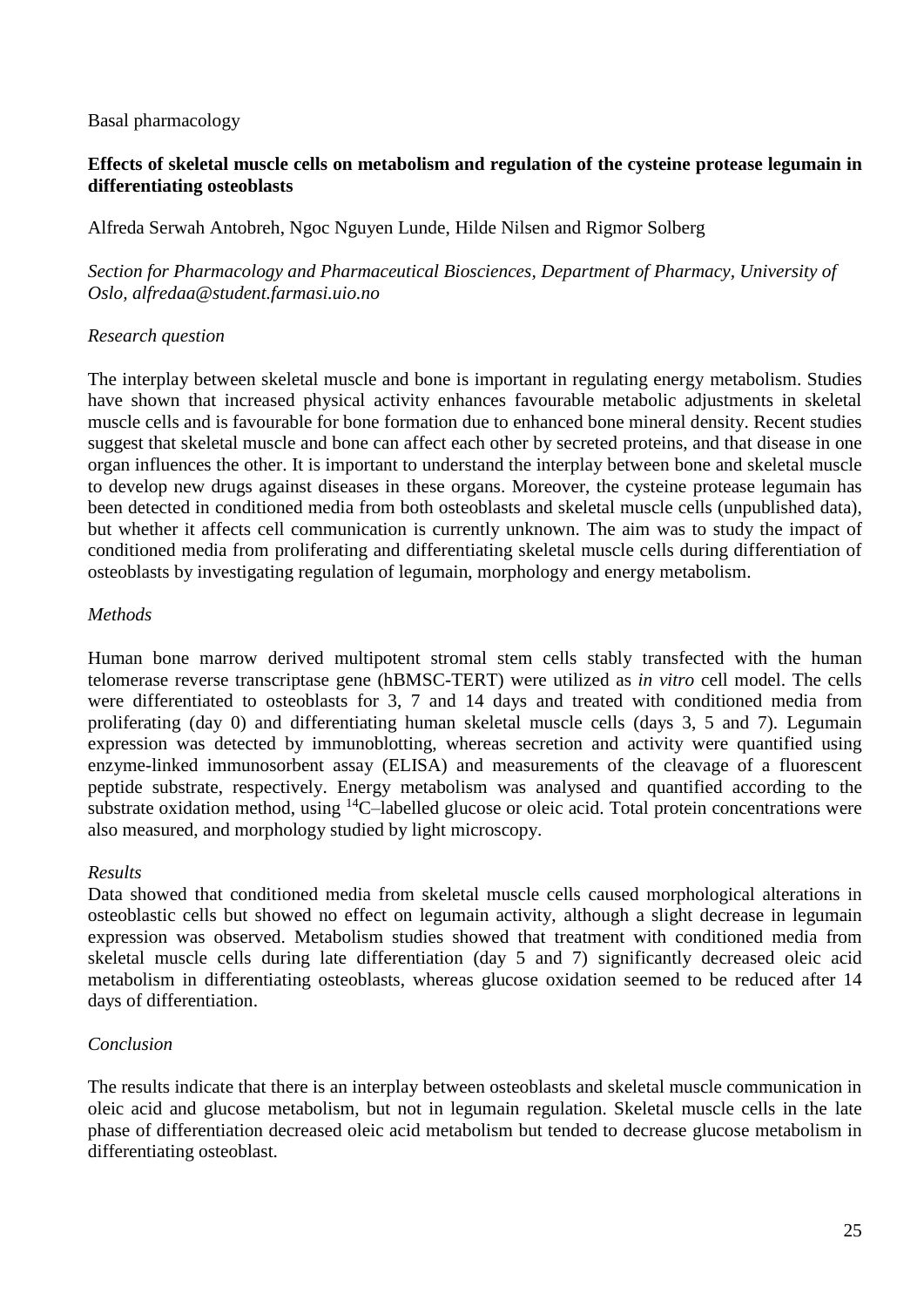#### Basal pharmacology

## **Effects of skeletal muscle cells on metabolism and regulation of the cysteine protease legumain in differentiating osteoblasts**

Alfreda Serwah Antobreh, Ngoc Nguyen Lunde, Hilde Nilsen and Rigmor Solberg

*Section for Pharmacology and Pharmaceutical Biosciences, Department of Pharmacy, University of Oslo, alfredaa@student.farmasi.uio.no*

#### *Research question*

The interplay between skeletal muscle and bone is important in regulating energy metabolism. Studies have shown that increased physical activity enhances favourable metabolic adjustments in skeletal muscle cells and is favourable for bone formation due to enhanced bone mineral density. Recent studies suggest that skeletal muscle and bone can affect each other by secreted proteins, and that disease in one organ influences the other. It is important to understand the interplay between bone and skeletal muscle to develop new drugs against diseases in these organs. Moreover, the cysteine protease legumain has been detected in conditioned media from both osteoblasts and skeletal muscle cells (unpublished data), but whether it affects cell communication is currently unknown. The aim was to study the impact of conditioned media from proliferating and differentiating skeletal muscle cells during differentiation of osteoblasts by investigating regulation of legumain, morphology and energy metabolism.

#### *Methods*

Human bone marrow derived multipotent stromal stem cells stably transfected with the human telomerase reverse transcriptase gene (hBMSC-TERT) were utilized as *in vitro* cell model. The cells were differentiated to osteoblasts for 3, 7 and 14 days and treated with conditioned media from proliferating (day 0) and differentiating human skeletal muscle cells (days 3, 5 and 7). Legumain expression was detected by immunoblotting, whereas secretion and activity were quantified using enzyme-linked immunosorbent assay (ELISA) and measurements of the cleavage of a fluorescent peptide substrate, respectively. Energy metabolism was analysed and quantified according to the substrate oxidation method, using  ${}^{14}$ C-labelled glucose or oleic acid. Total protein concentrations were also measured, and morphology studied by light microscopy.

## *Results*

Data showed that conditioned media from skeletal muscle cells caused morphological alterations in osteoblastic cells but showed no effect on legumain activity, although a slight decrease in legumain expression was observed. Metabolism studies showed that treatment with conditioned media from skeletal muscle cells during late differentiation (day 5 and 7) significantly decreased oleic acid metabolism in differentiating osteoblasts, whereas glucose oxidation seemed to be reduced after 14 days of differentiation.

## *Conclusion*

The results indicate that there is an interplay between osteoblasts and skeletal muscle communication in oleic acid and glucose metabolism, but not in legumain regulation. Skeletal muscle cells in the late phase of differentiation decreased oleic acid metabolism but tended to decrease glucose metabolism in differentiating osteoblast.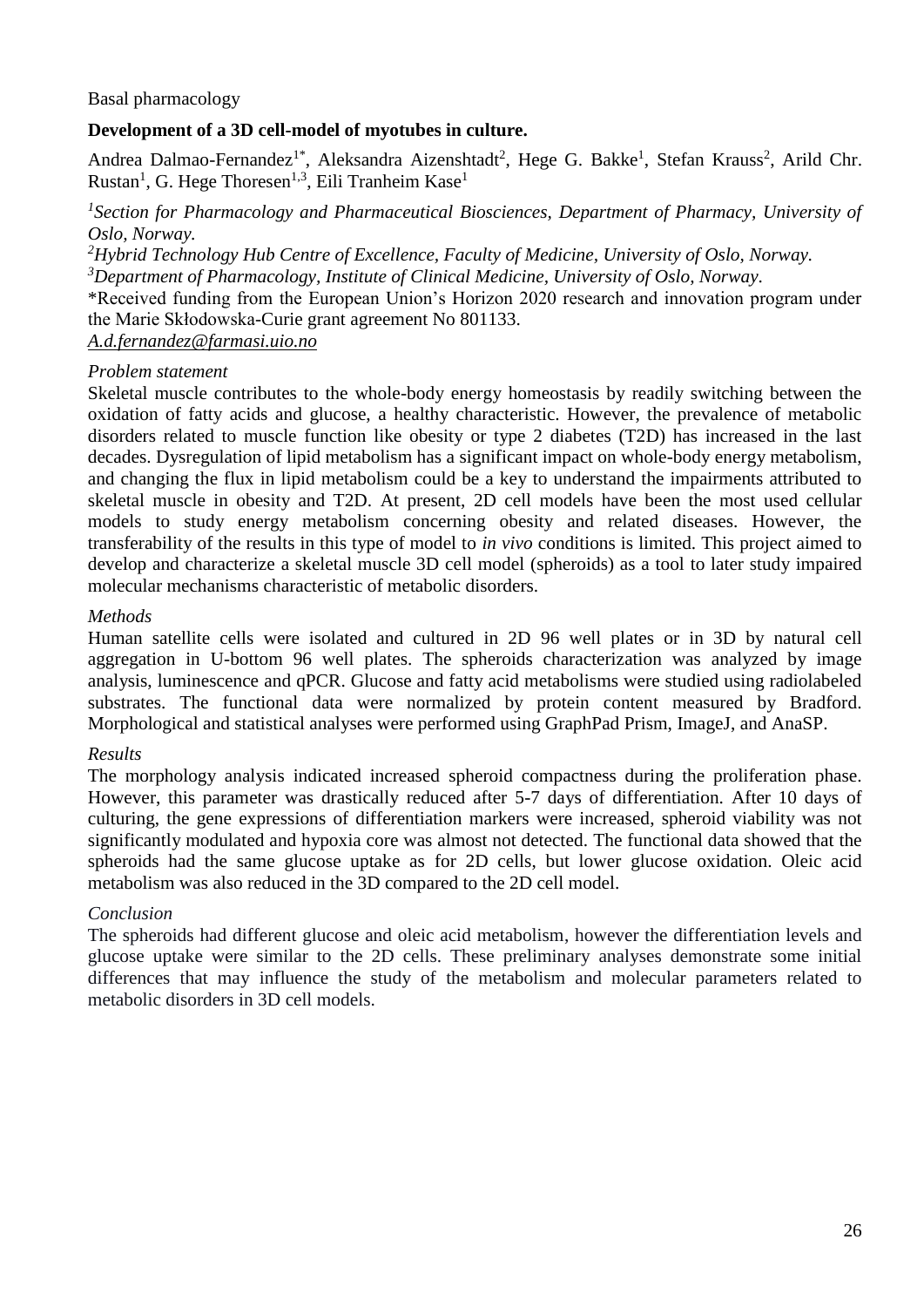#### Basal pharmacology

#### **Development of a 3D cell-model of myotubes in culture.**

Andrea Dalmao-Fernandez<sup>1\*</sup>, Aleksandra Aizenshtadt<sup>2</sup>, Hege G. Bakke<sup>1</sup>, Stefan Krauss<sup>2</sup>, Arild Chr. Rustan<sup>1</sup>, G. Hege Thoresen<sup>1,3</sup>, Eili Tranheim Kase<sup>1</sup>

<sup>1</sup> Section for Pharmacology and Pharmaceutical Biosciences, Department of Pharmacy, University of *Oslo, Norway.*

*<sup>2</sup>Hybrid Technology Hub Centre of Excellence, Faculty of Medicine, University of Oslo, Norway.*

*<sup>3</sup>Department of Pharmacology, Institute of Clinical Medicine, University of Oslo, Norway.*

\*Received funding from the European Union's Horizon 2020 research and innovation program under the Marie Skłodowska-Curie grant agreement No 801133.

*A.d.fernandez@farmasi.uio.no*

#### *Problem statement*

Skeletal muscle contributes to the whole-body energy homeostasis by readily switching between the oxidation of fatty acids and glucose, a healthy characteristic. However, the prevalence of metabolic disorders related to muscle function like obesity or type 2 diabetes (T2D) has increased in the last decades. Dysregulation of lipid metabolism has a significant impact on whole-body energy metabolism, and changing the flux in lipid metabolism could be a key to understand the impairments attributed to skeletal muscle in obesity and T2D. At present, 2D cell models have been the most used cellular models to study energy metabolism concerning obesity and related diseases. However, the transferability of the results in this type of model to *in vivo* conditions is limited. This project aimed to develop and characterize a skeletal muscle 3D cell model (spheroids) as a tool to later study impaired molecular mechanisms characteristic of metabolic disorders.

#### *Methods*

Human satellite cells were isolated and cultured in 2D 96 well plates or in 3D by natural cell aggregation in U-bottom 96 well plates. The spheroids characterization was analyzed by image analysis, luminescence and qPCR. Glucose and fatty acid metabolisms were studied using radiolabeled substrates. The functional data were normalized by protein content measured by Bradford. Morphological and statistical analyses were performed using GraphPad Prism, ImageJ, and AnaSP.

#### *Results*

The morphology analysis indicated increased spheroid compactness during the proliferation phase. However, this parameter was drastically reduced after 5-7 days of differentiation. After 10 days of culturing, the gene expressions of differentiation markers were increased, spheroid viability was not significantly modulated and hypoxia core was almost not detected. The functional data showed that the spheroids had the same glucose uptake as for 2D cells, but lower glucose oxidation. Oleic acid metabolism was also reduced in the 3D compared to the 2D cell model.

#### *Conclusion*

The spheroids had different glucose and oleic acid metabolism, however the differentiation levels and glucose uptake were similar to the 2D cells. These preliminary analyses demonstrate some initial differences that may influence the study of the metabolism and molecular parameters related to metabolic disorders in 3D cell models.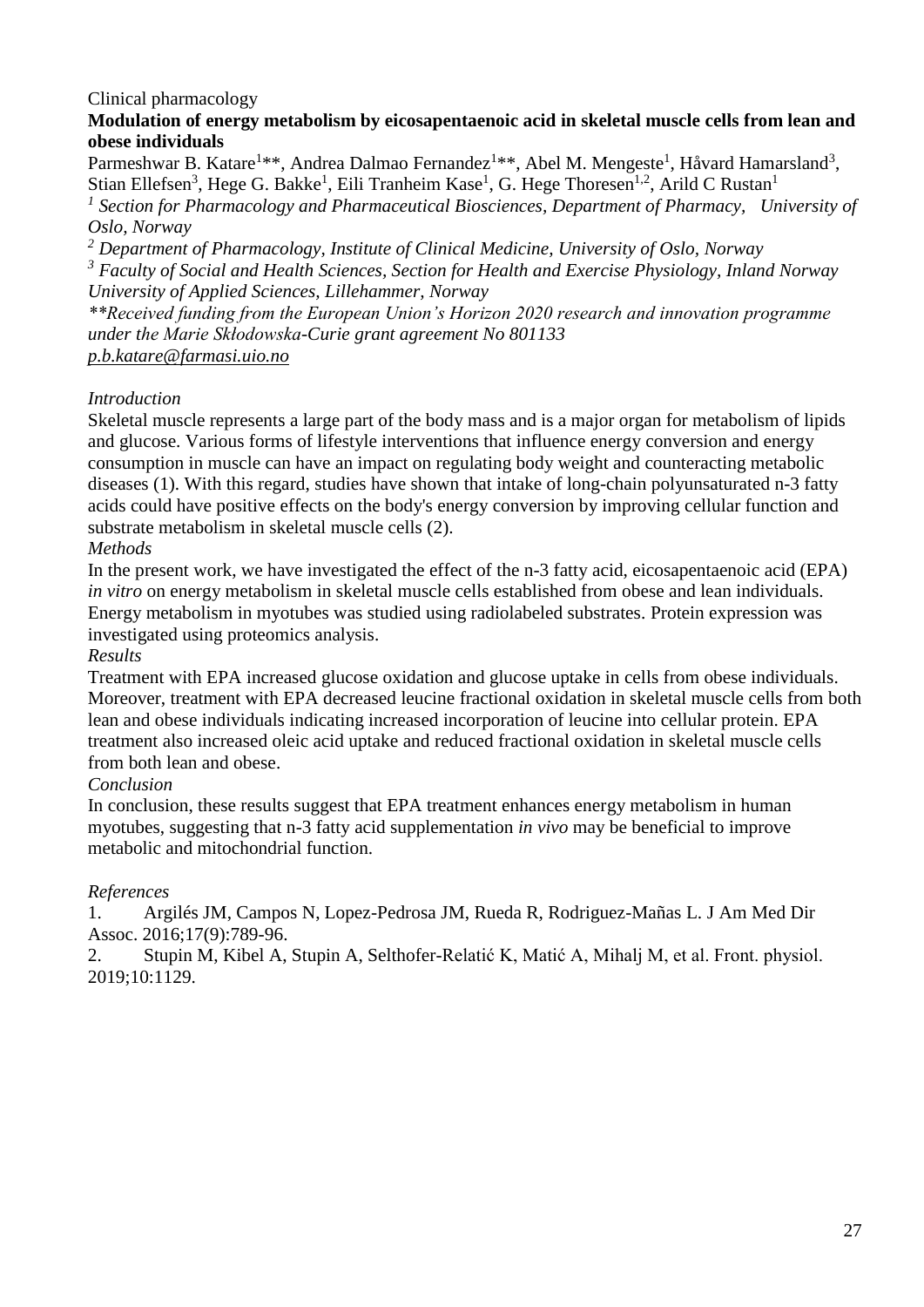# Clinical pharmacology

## **Modulation of energy metabolism by eicosapentaenoic acid in skeletal muscle cells from lean and obese individuals**

Parmeshwar B. Katare<sup>1\*\*</sup>, Andrea Dalmao Fernandez<sup>1\*\*</sup>, Abel M. Mengeste<sup>1</sup>, Håvard Hamarsland<sup>3</sup>, Stian Ellefsen<sup>3</sup>, Hege G. Bakke<sup>1</sup>, Eili Tranheim Kase<sup>1</sup>, G. Hege Thoresen<sup>1,2</sup>, Arild C Rustan<sup>1</sup>

<sup>1</sup> Section for Pharmacology and Pharmaceutical Biosciences, Department of Pharmacy, University of *Oslo, Norway*

*<sup>2</sup> Department of Pharmacology, Institute of Clinical Medicine, University of Oslo, Norway <sup>3</sup> Faculty of Social and Health Sciences, Section for Health and Exercise Physiology, Inland Norway University of Applied Sciences, Lillehammer, Norway*

*\*\*Received funding from the European Union's Horizon 2020 research and innovation programme under the Marie Skłodowska-Curie grant agreement No 801133 p.b.katare@farmasi.uio.no*

# *Introduction*

Skeletal muscle represents a large part of the body mass and is a major organ for metabolism of lipids and glucose. Various forms of lifestyle interventions that influence energy conversion and energy consumption in muscle can have an impact on regulating body weight and counteracting metabolic diseases (1). With this regard, studies have shown that intake of long-chain polyunsaturated n-3 fatty acids could have positive effects on the body's energy conversion by improving cellular function and substrate metabolism in skeletal muscle cells (2).

## *Methods*

In the present work, we have investigated the effect of the n-3 fatty acid, eicosapentaenoic acid (EPA) *in vitro* on energy metabolism in skeletal muscle cells established from obese and lean individuals. Energy metabolism in myotubes was studied using radiolabeled substrates. Protein expression was investigated using proteomics analysis.

## *Results*

Treatment with EPA increased glucose oxidation and glucose uptake in cells from obese individuals. Moreover, treatment with EPA decreased leucine fractional oxidation in skeletal muscle cells from both lean and obese individuals indicating increased incorporation of leucine into cellular protein. EPA treatment also increased oleic acid uptake and reduced fractional oxidation in skeletal muscle cells from both lean and obese.

# *Conclusion*

In conclusion, these results suggest that EPA treatment enhances energy metabolism in human myotubes, suggesting that n-3 fatty acid supplementation *in vivo* may be beneficial to improve metabolic and mitochondrial function.

## *References*

1. Argilés JM, Campos N, Lopez-Pedrosa JM, Rueda R, Rodriguez-Mañas L. J Am Med Dir Assoc. 2016;17(9):789-96.

2. Stupin M, Kibel A, Stupin A, Selthofer-Relatić K, Matić A, Mihalj M, et al. Front. physiol. 2019;10:1129.